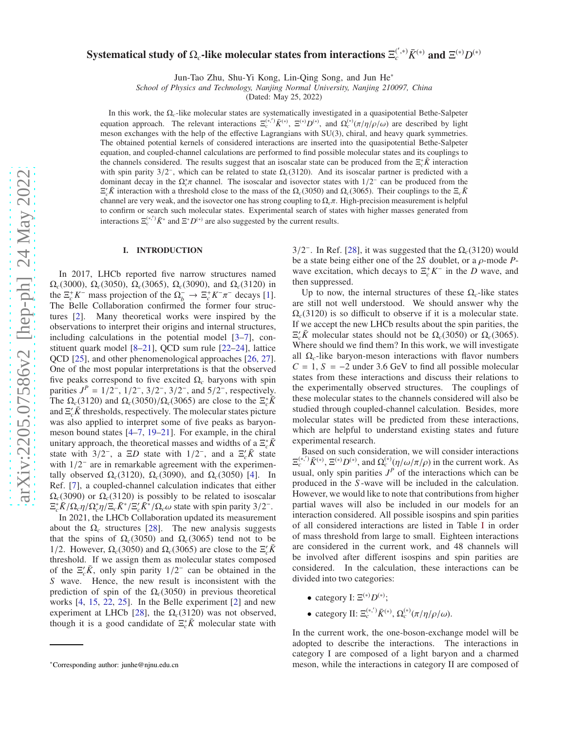# Systematical study of  $\Omega_c$ -like molecular states from interactions  $\Xi_c^{(\tt',\ast)} \bar K^{(\ast)}$  and  $\Xi^{(\ast)} D^{(\ast)}$

Jun-Tao Zhu, Shu-Yi Kong, Lin-Qing Song, and Jun He∗

*School of Physics and Technology, Nanjing Normal University, Nanjing 210097, China*

(Dated: May 25, 2022)

In this work, the Ω*c*-like molecular states are systematically investigated in a quasipotential Bethe-Salpeter equation approach. The relevant interactions  $\Xi_c^{(*,')} \bar{K}^{(*)}$ ,  $\Xi^{(*)} D^{(*)}$ , and  $\Omega_c^{(*)} (\pi/\eta/\rho/\omega)$  are described by light meson exchanges with the help of the effective Lagrangians with SU(3), chiral, and heavy quark symmetries. The obtained potential kernels of considered interactions are inserted into the quasipotential Bethe-Salpeter equation, and coupled-channel calculations are performed to find possible molecular states and its couplings to the channels considered. The results suggest that an isoscalar state can be produced from the  $\Xi_c^* \bar{K}$  interaction with spin parity  $3/2^-$ , which can be related to state  $\Omega_c(3120)$ . And its isoscalar partner is predicted with a dominant decay in the  $\Omega_c^* \pi$  channel. The isoscalar and isovector states with  $1/2^-$  can be produced from the  $E'_c \bar{K}$  interaction with a threshold close to the mass of the  $\Omega_c(3050)$  and  $\Omega_c(3065)$ . Their couplings to the  $E_c \bar{K}$ channel are very weak, and the isovector one has strong coupling to Ω*c*π. High-precision measurement is helpful to confirm or search such molecular states. Experimental search of states with higher masses generated from interactions  $\Xi_c^{(*,')} \bar{K}^*$  and  $\Xi^* D^{(*)}$  are also suggested by the current results.

### I. INTRODUCTION

In 2017, LHCb reported five narrow structures named Ω*c*(3000), Ω*c*(3050), Ω*c*(3065), Ω*c*(3090), and Ω*c*(3120) in the  $\Xi_c^+ K^-$  mass projection of the  $\Omega_b^- \to \Xi_c^+ K^- \pi^-$  decays [\[1](#page-9-0)]. The Belle Collaboration confirmed the former four structures [\[2](#page-9-1)]. Many theoretical works were inspired by the observations to interpret their origins and internal structures, including calculations in the potential model [\[3](#page-9-2)[–7\]](#page-9-3), constituent quark model [\[8](#page-9-4)[–21\]](#page-9-5), QCD sum rule [\[22](#page-10-0)[–24](#page-10-1)], lattice QCD [\[25](#page-10-2)], and other phenomenological approaches [\[26,](#page-10-3) [27](#page-10-4)]. One of the most popular interpretations is that the observed five peaks correspond to five excited  $\Omega_c$  baryons with spin parities  $J^P = 1/2^-$ ,  $1/2^-$ ,  $3/2^-$ ,  $3/2^-$ , and  $5/2^-$ , respectively. The  $\Omega_c(3120)$  and  $\Omega_c(3050)/\Omega_c(3065)$  are close to the  $\Xi_c^* \overline{K}$ and  $\Xi_c$ <sup>*K*</sup> thresholds, respectively. The molecular states picture was also applied to interpret some of five peaks as baryonmeson bound states [\[4](#page-9-6)[–7](#page-9-3), [19](#page-9-7)[–21\]](#page-9-5). For example, in the chiral unitary approach, the theoretical masses and widths of a  $\Xi_c^* \bar{K}$ state with  $3/2^-$ , a  $\Xi D$  state with  $1/2^-$ , and a  $\Xi_c$ <sup>'</sup> $\bar{K}$  state with  $1/2^-$  are in remarkable agreement with the experimentally observed  $\Omega_c(3120)$ ,  $\Omega_c(3090)$ , and  $\Omega_c(3050)$  [\[4\]](#page-9-6). In Ref. [\[7](#page-9-3)], a coupled-channel calculation indicates that either  $\Omega_c(3090)$  or  $\Omega_c(3120)$  is possibly to be related to isoscalar  $E_c^* \bar{K}/\Omega_c \eta / \Omega_c^* \eta / E_c \bar{K}^* / E_c' \bar{K}^* / \Omega_c \omega$  state with spin parity 3/2<sup>-</sup>.

In 2021, the LHCb Collaboration updated its measurement about the  $\Omega_c$  structures [\[28\]](#page-10-5). The new analysis suggests that the spins of  $\Omega_c(3050)$  and  $\Omega_c(3065)$  tend not to be 1/2. However,  $\Omega_c(3050)$  and  $\Omega_c(3065)$  are close to the  $\Xi_c^{\prime}$ *K* threshold. If we assign them as molecular states composed of the  $\Xi_c$ <sup>*K*</sup>, only spin parity  $1/2$ <sup>-</sup> can be obtained in the *S* wave. Hence, the new result is inconsistent with the prediction of spin of the  $\Omega_c(3050)$  in previous theoretical works [\[4](#page-9-6), [15,](#page-9-8) [22,](#page-10-0) [25\]](#page-10-2). In the Belle experiment [\[2](#page-9-1)] and new experiment at LHCb [\[28](#page-10-5)], the  $\Omega_c(3120)$  was not observed, though it is a good candidate of  $\Xi_c^* \overline{K}$  molecular state with

3/2<sup>-</sup>. In Ref. [\[28\]](#page-10-5), it was suggested that the  $\Omega_c(3120)$  would be a state being either one of the 2*S* doublet, or a ρ-mode *P*wave excitation, which decays to  $\Xi_c^+ K^-$  in the *D* wave, and then suppressed.

Up to now, the internal structures of these  $\Omega_c$ -like states are still not well understood. We should answer why the  $\Omega_c(3120)$  is so difficult to observe if it is a molecular state. If we accept the new LHCb results about the spin parities, the  $\Xi_c^r \bar{K}$  molecular states should not be  $\Omega_c(3050)$  or  $\Omega_c(3065)$ . Where should we find them? In this work, we will investigate all Ω*c*-like baryon-meson interactions with flavor numbers  $C = 1$ ,  $S = -2$  under 3.6 GeV to find all possible molecular states from these interactions and discuss their relations to the experimentally observed structures. The couplings of these molecular states to the channels considered will also be studied through coupled-channel calculation. Besides, more molecular states will be predicted from these interactions, which are helpful to understand existing states and future experimental research.

Based on such consideration, we will consider interactions  $\Xi_c^{(*,')} \bar{K}^{(*)}, \Xi^{(*)} D^{(*)},$  and  $\Omega_c^{(*)} (\eta/\omega/\pi/\rho)$  in the current work. As usual, only spin parities  $J<sup>P</sup>$  of the interactions which can be produced in the *S* -wave will be included in the calculation. However, we would like to note that contributions from higher partial waves will also be included in our models for an interaction considered. All possible isospins and spin parities of all considered interactions are listed in Table [I](#page-1-0) in order of mass threshold from large to small. Eighteen interactions are considered in the current work, and 48 channels will be involved after different isospins and spin parities are considered. In the calculation, these interactions can be divided into two categories:

- category I:  $\Xi^{(*)}D^{(*)}$ ;
- category II:  $\Xi_c^{(*,')} \bar{K}^{(*)}, \Omega_c^{(*)} (\pi/\eta/\rho/\omega)$ .

In the current work, the one-boson-exchange model will be adopted to describe the interactions. The interactions in category I are composed of a light baryon and a charmed meson, while the interactions in category II are composed of

<sup>∗</sup>Corresponding author: junhe@njnu.edu.cn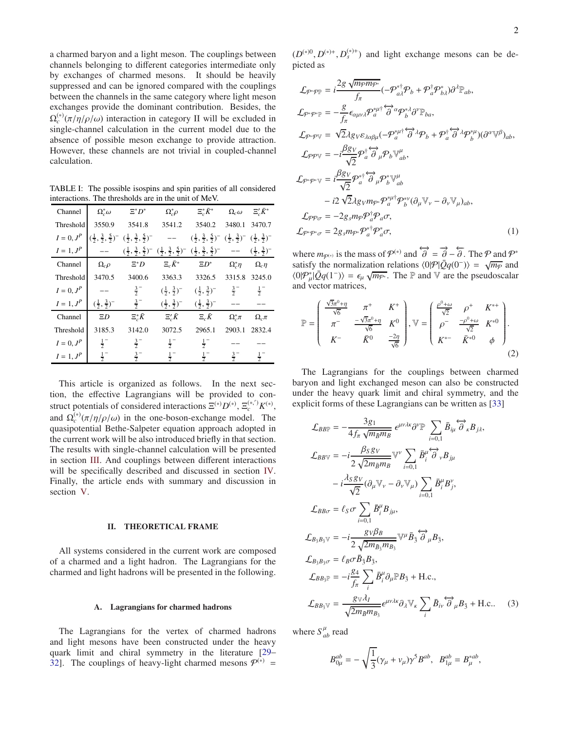a charmed baryon and a light meson. The couplings between channels belonging to different categories intermediate only by exchanges of charmed mesons. It should be heavily suppressed and can be ignored compared with the couplings between the channels in the same category where light meson exchanges provide the dominant contribution. Besides, the  $\Omega_c^{(*)}(\pi/\eta/\rho/\omega)$  interaction in category II will be excluded in single-channel calculation in the current model due to the absence of possible meson exchange to provide attraction. However, these channels are not trivial in coupled-channel calculation.

TABLE I: The possible isospins and spin parities of all considered interactions. The thresholds are in the unit of MeV.

<span id="page-1-0"></span>

| Channel    | $\Omega_c^*\omega$             | $\Xi^* D^*$                                                                                                   | $\Omega_{c}^{*}\rho$           | $\Xi_c^* \bar{K}^*$                                                                                                                                           | $\Omega_c \omega \ \ \ \ \ \Xi_c^{\prime} \bar{K}^*$ |                 |
|------------|--------------------------------|---------------------------------------------------------------------------------------------------------------|--------------------------------|---------------------------------------------------------------------------------------------------------------------------------------------------------------|------------------------------------------------------|-----------------|
| Threshold  | 3550.9                         | 3541.8                                                                                                        | 3541.2                         | 3540.2                                                                                                                                                        | 3480.1                                               | 3470.7          |
| $I=0, JP$  |                                | $\left(\frac{1}{2}, \frac{3}{2}, \frac{5}{2}\right)^ \left(\frac{1}{2}, \frac{3}{2}, \frac{5}{2}\right)^-$ -- |                                | $(\frac{1}{2}, \frac{3}{2}, \frac{5}{2})$ $(\frac{1}{2}, \frac{3}{2})$ $(\frac{1}{2}, \frac{3}{2})$                                                           |                                                      |                 |
| $I=1, J^P$ |                                |                                                                                                               |                                | $(\frac{1}{2}, \frac{3}{2}, \frac{5}{2})$ $(\frac{1}{2}, \frac{3}{2}, \frac{5}{2})$ $(\frac{1}{2}, \frac{3}{2}, \frac{5}{2})$ -- $(\frac{1}{2}, \frac{3}{2})$ |                                                      |                 |
| Channel    | $\Omega_c \rho$                | $\Xi^*D$                                                                                                      | $\Xi_c\bar{K}^*$               | $\Xi D^*$                                                                                                                                                     | $\Omega_c^*\eta$                                     | $\Omega_c \eta$ |
| Threshold  | 3470.5                         | 3400.6                                                                                                        | 3363.3                         | 3326.5                                                                                                                                                        | 3315.8                                               | 3245.0          |
| $I=0, JP$  |                                | $rac{3}{2}$                                                                                                   | $(\frac{1}{2}, \frac{3}{2})^-$ | $(\frac{1}{2}, \frac{3}{2})^ \frac{3}{2}^-$                                                                                                                   |                                                      | $\frac{1}{2}$   |
| $I=1, J^P$ | $(\frac{1}{2}, \frac{3}{2})^-$ | $\frac{3}{2}$                                                                                                 | $(\frac{1}{2}, \frac{3}{2})^-$ | $(\frac{1}{2}, \frac{3}{2})^-$                                                                                                                                |                                                      |                 |
| Channel    | ED                             | $\Xi_c^* \bar{K}$                                                                                             | $\Xi_{c}^{\prime}\bar{K}$      | $\Xi_c\bar K$                                                                                                                                                 | $\Omega_c^*\pi$                                      | $\Omega_c \pi$  |
| Threshold  | 3185.3                         | 3142.0                                                                                                        | 3072.5                         | 2965.1                                                                                                                                                        | 2903.1                                               | 2832.4          |
| $I=0, J^P$ | $\frac{1}{2}$                  | $rac{3}{2}$                                                                                                   | $\frac{1}{2}^{-}$              | $\frac{1}{2}$                                                                                                                                                 |                                                      |                 |
| $I=1, JP$  | $\frac{1}{2}$                  | $\frac{3}{2}$                                                                                                 | $\frac{1}{2}^{-}$              | $\frac{1}{2}$                                                                                                                                                 | $\frac{3}{2}$                                        | $\frac{1}{2}$   |

This article is organized as follows. In the next section, the effective Lagrangians will be provided to construct potentials of considered interactions  $\Xi^{(*)}D^{(*)}, \Xi_c^{(*,')}K^{(*)},$ and  $\Omega_c^{(*)}(\pi/\eta/\rho/\omega)$  in the one-boson-exchange model. The quasipotential Bethe-Salpeter equation approach adopted in the current work will be also introduced briefly in that section. The results with single-channel calculation will be presented in section [III.](#page-4-0) And couplings between different interactions will be specifically described and discussed in section [IV.](#page-5-0) Finally, the article ends with summary and discussion in section [V.](#page-9-9)

#### II. THEORETICAL FRAME

All systems considered in the current work are composed of a charmed and a light hadron. The Lagrangians for the charmed and light hadrons will be presented in the following.

#### A. Lagrangians for charmed hadrons

The Lagrangians for the vertex of charmed hadrons and light mesons have been constructed under the heavy quark limit and chiral symmetry in the literature [\[29](#page-10-6)– [32\]](#page-10-7). The couplings of heavy-light charmed mesons  $P^{(*)}$  =

 $(D^{(*)0}, D^{(*)+}, D_s^{(*)+})$  and light exchange mesons can be depicted as

$$
\mathcal{L}_{\mathcal{P}^*\mathcal{P}^{\mathbb{P}}} = i \frac{2g \sqrt{m_{\mathcal{P}} m_{\mathcal{P}^*}}}{f_{\pi}} (-\mathcal{P}_{a\lambda}^{*\dagger} \mathcal{P}_{b} + \mathcal{P}_{a}^{\dagger} \mathcal{P}_{b\lambda}^{*}) \partial^{\lambda} \mathbb{P}_{ab},
$$
  
\n
$$
\mathcal{L}_{\mathcal{P}^*\mathcal{P}^*\mathbb{P}} = -\frac{g}{f_{\pi}} \epsilon_{\alpha\mu\nu\lambda} \mathcal{P}_{a}^{*\mu \dagger} \overleftrightarrow{\partial}^{\alpha} \mathcal{P}_{b}^{*\lambda} \partial^{\nu} \mathbb{P}_{ba},
$$
  
\n
$$
\mathcal{L}_{\mathcal{P}^*\mathcal{P}^{\mathbb{V}}} = \sqrt{2} \lambda g_V \epsilon_{\lambda\alpha\beta\mu} (-\mathcal{P}_{a}^{*\mu \dagger} \overleftrightarrow{\partial}^{\lambda} \mathcal{P}_{b} + \mathcal{P}_{a}^{\dagger} \overleftrightarrow{\partial}^{\lambda} \mathcal{P}_{b}^{*\mu}) (\partial^{\alpha} \mathbb{V}^{\beta})_{ab},
$$
  
\n
$$
\mathcal{L}_{\mathcal{P}^*\mathcal{P}^{\mathbb{V}}} = -i \frac{\beta g_V}{\sqrt{2}} \mathcal{P}_{a}^{*\dagger} \overleftrightarrow{\partial}_{\mu} \mathcal{P}_{b}^{*\dagger} \mathbb{V}_{ab}^{u},
$$
  
\n
$$
-\frac{\beta g_V}{\sqrt{2}} \mathcal{P}_{a}^{*\dagger} \overleftrightarrow{\partial}_{\mu} \mathcal{P}_{b}^{*\dagger} \mathbb{V}_{ab}^{u}
$$
  
\n
$$
-\frac{\beta g_V}{\sqrt{2}} \mathcal{P}_{a}^{*\dagger} \mathcal{P}_{b}^{*\dagger} (\partial_{\mu} \mathbb{V}_{\nu} - \partial_{\nu} \mathbb{V}_{\mu})_{ab},
$$
  
\n
$$
\mathcal{L}_{\mathcal{P}^*\mathcal{P}^*} = -2g_{\mu} m_{\mathcal{P}} \mathcal{P}_{a}^{*\dagger} \mathcal{P}_{a}^{*\dagger} \mathcal{P}_{a}^{*} \mathcal{T},
$$
  
\n
$$
\mathcal{L}_{\mathcal{P}^*\mathcal{P}^*\
$$

where  $m_{\mathcal{P}^{(*)}}$  is the mass of  $\mathcal{P}^{(*)}$  and  $\overleftrightarrow{\partial} = \overrightarrow{\partial} - \overleftarrow{\partial}$ . The  $\mathcal{P}$  and  $\mathcal{P}^{*}$ satisfy the normalization relations  $\langle 0|\mathcal{P}|\bar{Q}q(0^-)\rangle = \sqrt{m_{\mathcal{P}}}$  and  $\langle 0 | \mathcal{P}_{\mu}^* | \bar{Q} q(1^-) \rangle = \epsilon_{\mu} \sqrt{m_{\mathcal{P}^*}}$ . The P and V are the pseudoscalar and vector matrices,

$$
\mathbb{P} = \begin{pmatrix} \frac{\sqrt{3}\pi^{0} + \eta}{\sqrt{6}} & \pi^{+} & K^{+} \\ \pi^{-} & \frac{-\sqrt{3}\pi^{0} + \eta}{\sqrt{6}} & K^{0} \\ K^{-} & \bar{K}^{0} & \frac{-2\eta}{\sqrt{6}} \end{pmatrix}, \mathbb{V} = \begin{pmatrix} \frac{\rho^{0} + \omega}{\sqrt{2}} & \rho^{+} & K^{*+} \\ \rho^{-} & \frac{-\rho^{0} + \omega}{\sqrt{2}} & K^{*0} \\ K^{*-} & \bar{K}^{*0} & \phi \end{pmatrix}.
$$
\n(2)

The Lagrangians for the couplings between charmed baryon and light exchanged meson can also be constructed under the heavy quark limit and chiral symmetry, and the explicit forms of these Lagrangians can be written as [\[33\]](#page-10-8)

$$
\mathcal{L}_{BBP} = -\frac{3g_1}{4f_\pi \sqrt{m_{\bar{B}}m_B}} e^{\mu\nu \lambda \kappa} \partial^{\nu} \mathbb{P} \sum_{i=0,1} \bar{B}_{i\mu} \overleftrightarrow{\partial}_{\kappa} B_{j\lambda},
$$
  
\n
$$
\mathcal{L}_{BBV} = -i \frac{\beta_S g_V}{2\sqrt{2m_{\bar{B}}m_B}} \mathbb{V}^{\nu} \sum_{i=0,1} \bar{B}_{i}^{\mu} \overleftrightarrow{\partial}_{\nu} B_{j\mu}
$$
  
\n
$$
-i \frac{\lambda_S g_V}{\sqrt{2}} (\partial_{\mu} \mathbb{V}_{\nu} - \partial_{\nu} \mathbb{V}_{\mu}) \sum_{i=0,1} \bar{B}_{i}^{\mu} B_{j}^{\nu},
$$
  
\n
$$
\mathcal{L}_{BB\sigma} = \ell_S \sigma \sum_{i=0,1} \bar{B}_{i}^{\mu} B_{j\mu},
$$
  
\n
$$
\mathcal{L}_{B_3B_3V} = -i \frac{g_V \beta_B}{2\sqrt{2m_{\bar{B}_3}m_{B_3}}} \mathbb{V}^{\mu} \bar{B}_3 \overleftrightarrow{\partial}_{\mu} B_3,
$$
  
\n
$$
\mathcal{L}_{B_3B_3\sigma} = \ell_B \sigma \bar{B}_3 B_3,
$$
  
\n
$$
\mathcal{L}_{BB_3P} = -i \frac{g_4}{f_\pi} \sum_{i} \bar{B}_{i}^{\mu} \partial_{\mu} \mathbb{P} B_3 + \text{H.c.},
$$
  
\n
$$
\mathcal{L}_{BB_3V} = \frac{g_V \lambda_I}{\sqrt{2m_{\bar{B}}m_{B_3}}} e^{\mu \nu \lambda \kappa} \partial_{\lambda} \mathbb{V}_{\kappa} \sum_{i} \bar{B}_{i\nu} \overleftrightarrow{\partial}_{\mu} B_3 + \text{H.c.}. \quad (3)
$$

where  $S_{ab}^{\mu}$  read

$$
B_{0\mu}^{ab} = -\sqrt{\frac{1}{3}}(\gamma_{\mu} + \nu_{\mu})\gamma^{5}B^{ab}, \quad B_{1\mu}^{ab} = B_{\mu}^{*ab},
$$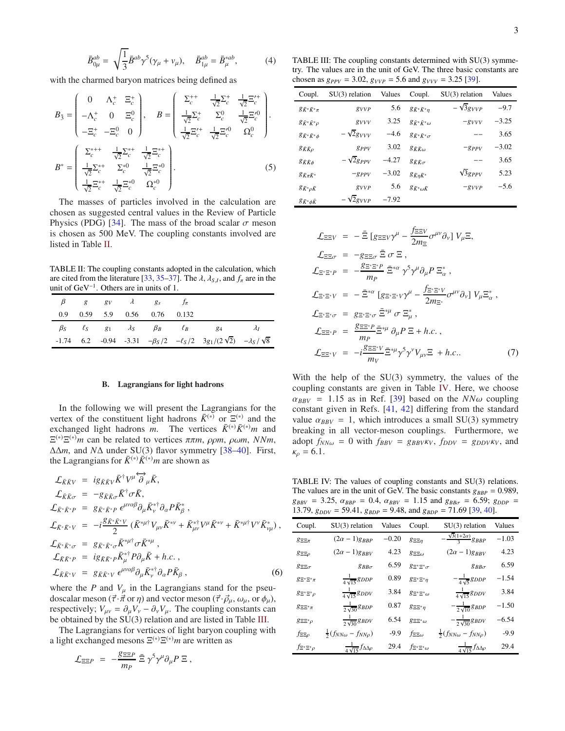$$
\bar{B}_{0\mu}^{ab} = \sqrt{\frac{1}{3}} \bar{B}^{ab} \gamma^5 (\gamma_\mu + v_\mu), \quad \bar{B}_{1\mu}^{ab} = \bar{B}^{*ab}_\mu, \tag{4}
$$

with the charmed baryon matrices being defined as

$$
B_{\bar{3}} = \begin{pmatrix} 0 & \Lambda_c^+ & \Xi_c^+ \\ -\Lambda_c^+ & 0 & \Xi_c^0 \\ -\Xi_c^+ & -\Xi_c^0 & 0 \end{pmatrix}, \quad B = \begin{pmatrix} \Sigma_c^{++} & \frac{1}{\sqrt{2}} \Sigma_c^+ & \frac{1}{\sqrt{2}} \Xi_c^{\prime +} \\ \frac{1}{\sqrt{2}} \Sigma_c^+ & \Sigma_c^0 & \frac{1}{\sqrt{2}} \Xi_c^{\prime 0} \\ \frac{1}{\sqrt{2}} \Xi_c^{\prime +} & \frac{1}{\sqrt{2}} \Xi_c^{\prime 0} & \Omega_c^0 \end{pmatrix}.
$$

$$
B^* = \begin{pmatrix} \Sigma_c^{*++} & \frac{1}{\sqrt{2}} \Sigma_c^{*+} & \frac{1}{\sqrt{2}} \Xi_c^{*+} \\ \frac{1}{\sqrt{2}} \Sigma_c^{*+} & \Sigma_c^{*0} & \frac{1}{\sqrt{2}} \Xi_c^{\prime 0} \\ \frac{1}{\sqrt{2}} \Xi_c^{*+} & \Sigma_c^{*0} & \frac{1}{\sqrt{2}} \Xi_c^{\prime 0} \end{pmatrix}.
$$
(5)

The masses of particles involved in the calculation are chosen as suggested central values in the Review of Particle Physics (PDG) [\[34\]](#page-10-9). The mass of the broad scalar  $\sigma$  meson is chosen as 500 MeV. The coupling constants involved are listed in Table [II.](#page-2-0)

<span id="page-2-0"></span>TABLE II: The coupling constants adopted in the calculation, which are cited from the literature [\[33](#page-10-8), [35](#page-10-10)[–37\]](#page-10-11). The  $\lambda$ ,  $\lambda_{S,I}$ , and  $f_{\pi}$  are in the unit of GeV−<sup>1</sup> . Others are in units of 1.

|  |  | $\beta$ g $g_V$ d $g_s$ $f_\pi$ |                                                                                                       |    |
|--|--|---------------------------------|-------------------------------------------------------------------------------------------------------|----|
|  |  | 0.9 0.59 5.9 0.56 0.76 0.132    |                                                                                                       |    |
|  |  |                                 | $\beta_S$ $\ell_S$ $g_1$ $\lambda_S$ $\beta_B$ $\ell_B$ $g_4$                                         | ΑI |
|  |  |                                 | -1.74 6.2 -0.94 -3.31 $-\beta_S/2$ $-\ell_S/2$ 3g <sub>1</sub> /(2 $\sqrt{2}$ ) $-\lambda_S/\sqrt{8}$ |    |

### B. Lagrangians for light hadrons

In the following we will present the Lagrangians for the vertex of the constituent light hadrons  $\bar{K}^{(*)}$  or  $\Xi^{(*)}$  and the exchanged light hadrons *m*. The vertices  $\bar{K}^{(*)}\bar{K}^{(*)}m$  and  $E^{(*)}E^{(*)}$ *m* can be related to vertices  $\pi \pi m$ ,  $\rho \rho m$ ,  $\rho \omega m$ ,  $NNm$ , ∆∆*m*, and *N*∆ under SU(3) flavor symmetry [\[38](#page-10-12)[–40\]](#page-10-13). First, the Lagrangians for  $\bar{K}^{(*)}\bar{K}^{(*)}m$  are shown as

$$
\mathcal{L}_{\bar{K}\bar{K}V} = i g_{\bar{K}\bar{K}V} \bar{K}^{\dagger} V^{\mu} \overleftrightarrow{\partial}_{\mu} \bar{K},
$$
\n
$$
\mathcal{L}_{\bar{K}\bar{K}\sigma} = -g_{\bar{K}\bar{K}\sigma} \bar{K}^{\dagger} \sigma \bar{K},
$$
\n
$$
\mathcal{L}_{\bar{K}^*\bar{K}^*P} = g_{\bar{K}^*\bar{K}^*P} e^{\mu\nu\alpha\beta} \partial_{\mu} \bar{K}^{* \dagger}_{\nu} \partial_{\alpha} P \bar{K}^{*}_{\beta},
$$
\n
$$
\mathcal{L}_{\bar{K}^*\bar{K}^*V} = -i \frac{g_{\bar{K}^*\bar{K}^*V}}{2} (\bar{K}^{*\mu \dagger} V_{\mu\nu} \bar{K}^{*\nu} + \bar{K}^{*\dagger}_{\mu\nu} V^{\mu} \bar{K}^{*\nu} + \bar{K}^{*\mu \dagger} V^{\nu} \bar{K}^{*}_{\nu\mu}),
$$
\n
$$
\mathcal{L}_{\bar{K}^*\bar{K}^*\sigma} = g_{\bar{K}^*\bar{K}^*\sigma} \bar{K}^{*\mu \dagger}_{\mu} \sigma \bar{K}^{*\mu},
$$
\n
$$
\mathcal{L}_{\bar{K}\bar{K}^*P} = i g_{\bar{K}\bar{K}^*P} \bar{K}^{*\dagger}_{\mu} P \partial_{\mu} \bar{K} + h.c.,
$$
\n
$$
\mathcal{L}_{\bar{K}\bar{K}^*V} = g_{\bar{K}\bar{K}^*V} e^{\mu\nu\alpha\beta} \partial_{\mu} \bar{K}^{*\dagger}_{\nu} \partial_{\alpha} P \bar{K}_{\beta},
$$
\n(6)

where the *P* and  $V_{\mu}$  in the Lagrangians stand for the pseudoscalar meson ( $\vec{\tau} \cdot \vec{\pi}$  or  $\eta$ ) and vector meson ( $\vec{\tau} \cdot \vec{\rho}_{\mu}$ ,  $\omega_{\mu}$ , or  $\phi_{\mu}$ ), respectively;  $V_{\mu\nu} = \partial_{\mu}V_{\nu} - \partial_{\nu}V_{\mu}$ . The coupling constants can be obtained by the SU(3) relation and are listed in Table [III.](#page-2-1)

The Lagrangians for vertices of light baryon coupling with a light exchanged mesons  $E^{(*)}E^{(*)}m$  are written as

$$
\mathcal{L}_{\Xi\Xi P}~=~- \frac{g_{\Xi\Xi P}}{m_P}~\bar{\Xi}~\gamma^5\gamma^\mu\partial_\mu P~\Xi~,
$$

<span id="page-2-1"></span>TABLE III: The coupling constants determined with SU(3) symmetry. The values are in the unit of GeV. The three basic constants are chosen as  $g_{PPV} = 3.02$ ,  $g_{VVP} = 5.6$  and  $g_{VVV} = 3.25$  [\[39\]](#page-10-14).

| Coupl.                         | $SU(3)$ relation           | Values  | Coupl.                           | $SU(3)$ relation            | Values  |
|--------------------------------|----------------------------|---------|----------------------------------|-----------------------------|---------|
| $g_{\bar{K}^* \bar{K}^* \pi}$  | <i><b>g</b>vr</i>          | 5.6     | $g_{\bar{K}^*\bar{K}^*n}$        | $-\sqrt{3}g_{VVP}$          | $-9.7$  |
| $g_{\bar{K}^*\bar{K}^*\rho}$   | $g_{VVV}$                  | 3.25    | $g_{\bar{K}^* \bar{K}^* \omega}$ | $-g_{VVV}$                  | $-3.25$ |
| $g_{\bar{K}^* \bar{K}^* \phi}$ | $-\sqrt{2}g_{VVV}$         | $-4.6$  | $g_{\bar{K}^* \bar{K}^* \sigma}$ |                             | 3.65    |
| $g_{\bar K \bar K \rho}$       | RPPV                       | 3.02    | $g_{\bar K \bar K \omega}$       | $-$ g $PPV$                 | $-3.02$ |
| $g_{\bar{K}\bar{K}\phi}$       | $-\sqrt{2g_{PPV}}$         | $-4.27$ | $g_{\bar K \bar K \sigma}$       |                             | 3.65    |
| $g_{\bar K\pi \bar K^*}$       | $-$ <i>g<sub>PPV</sub></i> | $-3.02$ | $g_{\bar{K} \eta \bar{K}^*}$     | $\sqrt{3}$ g <sub>PPV</sub> | 5.23    |
| $g_{\bar{K}^*\rho\bar{K}}$     | gyvp                       | 5.6     | $g_{\bar{K}^*\omega\bar{K}}$     | $-g_{VVP}$                  | $-5.6$  |
| $g_{\bar{K}^*\phi\bar{K}}$     | $-\sqrt{2g_{VVP}}$         | $-7.92$ |                                  |                             |         |

$$
\mathcal{L}_{\Xi\Xi V} = -\bar{\Xi} [g_{\Xi\Xi V} \gamma^{\mu} - \frac{f_{\Xi\Xi V}}{2m_{\Xi}} \sigma^{\mu\nu} \partial_{\nu}] V_{\mu} \Xi,
$$
\n
$$
\mathcal{L}_{\Xi\Xi\sigma} = -g_{\Xi\Xi\sigma} \bar{\Xi} \sigma \Xi ,
$$
\n
$$
\mathcal{L}_{\Xi^*\Xi^*P} = -\frac{g_{\Xi^*\Xi^*P}}{m_P} \bar{\Xi}^{*\alpha} \gamma^5 \gamma^{\mu} \partial_{\mu} P \Xi^*_{\alpha} ,
$$
\n
$$
\mathcal{L}_{\Xi^*\Xi^*V} = -\bar{\Xi}^{*\alpha} [g_{\Xi^*\Xi^*V} \gamma^{\mu} - \frac{f_{\Xi^*\Xi^*V}}{2m_{\Xi^*}} \sigma^{\mu\nu} \partial_{\nu}] V_{\mu} \Xi^*_{\alpha} ,
$$
\n
$$
\mathcal{L}_{\Xi^*\Xi^* \sigma} = g_{\Xi^*\Xi^* \sigma} \bar{\Xi}^{*\mu} \sigma \Xi^*_{\mu} ,
$$
\n
$$
\mathcal{L}_{\Xi\Xi^*P} = \frac{g_{\Xi\Xi^*P}}{m_P} \bar{\Xi}^{*\mu} \partial_{\mu} P \Xi + h.c.,
$$
\n
$$
\mathcal{L}_{\Xi\Xi^*V} = -i \frac{g_{\Xi\Xi^*V}}{m_V} \bar{\Xi}^{*\mu} \gamma^5 \gamma^{\nu} V_{\mu\nu} \Xi + h.c.. \tag{7}
$$

With the help of the SU(3) symmetry, the values of the coupling constants are given in Table [IV.](#page-2-2) Here, we choose  $\alpha_{BBV}$  = 1.15 as in Ref. [\[39](#page-10-14)] based on the *NN* $\omega$  coupling constant given in Refs. [\[41,](#page-10-15) [42\]](#page-10-16) differing from the standard value  $\alpha_{BBV} = 1$ , which introduces a small SU(3) symmetry breaking in all vector-meson couplings. Furthermore, we adopt  $f_{NN\omega} = 0$  with  $f_{BBV} = g_{BBV}k_V$ ,  $f_{DDV} = g_{DDV}k_V$ , and  $\kappa_{\rho} = 6.1.$ 

<span id="page-2-2"></span>TABLE IV: The values of coupling constants and SU(3) relations. The values are in the unit of GeV. The basic constants  $g_{BBP} = 0.989$ ,  $g_{BBV}$  = 3.25,  $\alpha_{BBP}$  = 0.4,  $\alpha_{BBV}$  = 1.15 and  $g_{BB\sigma}$  = 6.59;  $g_{DDP}$  = 13.79,  $g_{DDV} = 59.41$ ,  $g_{RDP} = 9.48$ , and  $g_{RDP} = 71.69$  [\[39](#page-10-14), [40\]](#page-10-13).

| $\sim \sim \sim \sim \sim \sim \sim$ | $\sim$ $\sim$ $\sim$ $\sim$ $\sim$ $\sim$ $\sim$ |         | $\sim$ $\sim$ , we obt |                                            |         |
|--------------------------------------|--------------------------------------------------|---------|------------------------|--------------------------------------------|---------|
| Coupl.                               | $SU(3)$ relation                                 | Values  | Coupl.                 | $SU(3)$ relation                           | Values  |
| $g\Xi\Xi\pi$                         | $(2\alpha - 1)$ g <sub>BBP</sub>                 | $-0.20$ | $g\Xi\Xi\eta$          | $-\frac{\sqrt{3}(1+2\alpha)}{3}g_{BBP}$    | $-1.03$ |
| $g_{\Xi\Xi\rho}$                     | $(2\alpha - 1)$ g <sub>BBV</sub>                 | 4.23    | $g_{\Xi\Xi\omega}$     | $(2\alpha - 1)$ g <sub>BBV</sub>           | 4.23    |
| $g_{\Xi\Xi\sigma}$                   | $RBB\sigma$                                      | 6.59    | $g_{\Xi^*\Xi^*\sigma}$ | $RBB\sigma$                                | 6.59    |
| $g_{\Xi^*\Xi^*\pi}$                  | $\frac{1}{4\sqrt{15}}$ g <sub>DDP</sub>          | 0.89    | $g_{\Xi^*\Xi^*n}$      | $-\frac{1}{4\sqrt{5}}g_{DDP}$              | $-1.54$ |
| $g_{\Xi^*\Xi^*\rho}$                 | $\frac{1}{4\sqrt{15}}$ 8DDV                      | 3.84    | $g_{\Xi^*\Xi^*\omega}$ | $\frac{1}{4\sqrt{15}}$ 8DDV                | 3.84    |
| $g_{\Xi\Xi^*\pi}$                    | $\frac{1}{2\sqrt{30}}$ g BDP                     | 0.87    | $g_{\Xi\Xi^*n}$        | $-\frac{1}{2\sqrt{10}}$ g BDP              | $-1.50$ |
| $g\Xi\Xi^*\rho$                      | $\frac{1}{2\sqrt{30}}$ g BDV                     | 6.54    | $g_{\Xi\Xi^*\omega}$   | $-\frac{1}{2\sqrt{30}}$ g BDV              | $-6.54$ |
| $f_{\Xi\Xi\rho}$                     | $\frac{1}{2}(f_{NN\omega}-f_{NN\rho})$           | $-9.9$  | $f_{\Xi\Xi\omega}$     | $\frac{1}{2}(f_{NN\omega}-f_{NN\rho})$     | $-9.9$  |
| $f_{\Xi^*\Xi^*\rho}$                 | $\frac{1}{4\sqrt{15}}f_{\Delta\Delta\rho}$       | 29.4    | $f_{\Xi^*\Xi^*\omega}$ | $\frac{1}{4\sqrt{15}}f_{\Delta\Delta\rho}$ | 29.4    |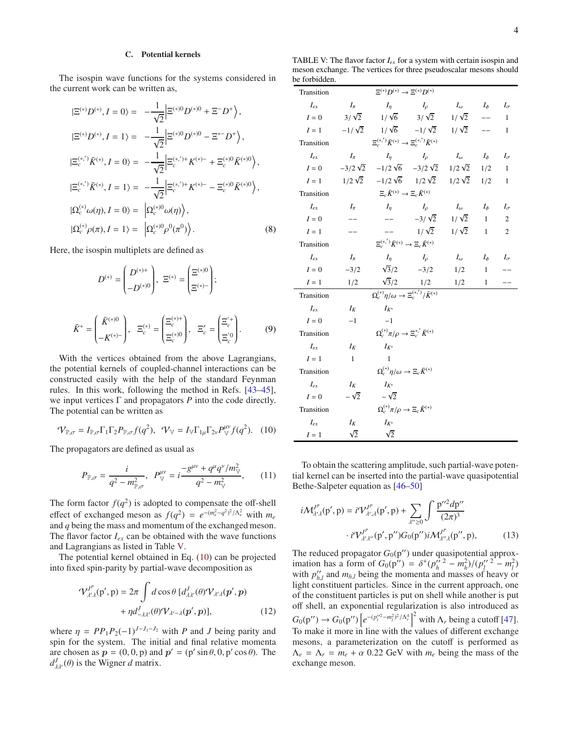### C. Potential kernels

The isospin wave functions for the systems considered in the current work can be written as,

$$
|\Xi^{(*)}D^{(*)}, I = 0\rangle = -\frac{1}{\sqrt{2}} \Big| \Xi^{(*)0}D^{(*)0} + \Xi^{-}D^{+}\Big\rangle,
$$
  
\n
$$
|\Xi^{(*)}D^{(*)}, I = 1\rangle = -\frac{1}{\sqrt{2}} \Big| \Xi^{(*)0}D^{(*)0} - \Xi^{*-}D^{+}\Big\rangle,
$$
  
\n
$$
|\Xi_c^{(*,')} \bar{K}^{(*)}, I = 0\rangle = -\frac{1}{\sqrt{2}} \Big| \Xi_c^{(*,')+}K^{(*)-} + \Xi_c^{(*)0}\bar{K}^{(*)0}\Big\rangle,
$$
  
\n
$$
|\Xi_c^{(*,)} \bar{K}^{(*)}, I = 1\rangle = -\frac{1}{\sqrt{2}} \Big| \Xi_c^{(*,')+}K^{(*)-} - \Xi_c^{(*)0}\bar{K}^{(*)0}\Big\rangle,
$$
  
\n
$$
|\Omega_c^{(*)}\omega(\eta), I = 0\rangle = |\Omega_c^{(*)0}\omega(\eta)\Big\rangle,
$$
  
\n
$$
|\Omega_c^{(*)}\rho(\pi), I = 1\rangle = |\Omega_c^{(*)0}\rho^{0}(\pi^{0})\Big\rangle.
$$
  
\n(8)

Here, the isospin multiplets are defined as

$$
D^{(*)} = \begin{pmatrix} D^{(*)+} \\ -D^{(*)0} \end{pmatrix}, \ \Xi^{(*)} = \begin{pmatrix} \Xi^{(*)0} \\ \Xi^{(*)-} \end{pmatrix};
$$

$$
\bar{K}^* = \begin{pmatrix} \bar{K}^{(*)0} \\ -K^{(*)-} \end{pmatrix}, \ \ \Xi_c^{(*)} = \begin{pmatrix} \Xi_c^{(*)+} \\ \Xi_c^{(*)0} \end{pmatrix}, \ \ \Xi_c' = \begin{pmatrix} \Xi_c^{'+} \\ \Xi_c^{'0} \end{pmatrix}.
$$
 (9)

With the vertices obtained from the above Lagrangians, the potential kernels of coupled-channel interactions can be constructed easily with the help of the standard Feynman rules. In this work, following the method in Refs. [\[43](#page-10-17)[–45](#page-10-18)], we input vertices Γ and propagators *P* into the code directly. The potential can be written as

<span id="page-3-1"></span>
$$
\mathcal{V}_{\mathbb{P},\sigma} = I_{\mathbb{P},\sigma} \Gamma_1 \Gamma_2 P_{\mathbb{P},\sigma} f(q^2), \quad \mathcal{V}_{\mathbb{V}} = I_{\mathbb{V}} \Gamma_{1\mu} \Gamma_{2\nu} P_{\mathbb{V}}^{\mu\nu} f(q^2). \quad (10)
$$

The propagators are defined as usual as

$$
P_{\mathbb{P},\sigma} = \frac{i}{q^2 - m_{\mathbb{P},\sigma}^2}, \ \ P_{\mathbb{V}}^{\mu\nu} = i \frac{-g^{\mu\nu} + q^{\mu}q^{\nu}/m_{\mathbb{V}}^2}{q^2 - m_{\mathbb{V}}^2}, \qquad (11)
$$

The form factor  $f(q^2)$  is adopted to compensate the off-shell effect of exchanged meson as  $f(q^2) = e^{-(m_e^2 - q^2)^2/\Lambda_e^2}$  with  $m_e$ and *q* being the mass and momentum of the exchanged meson. The flavor factor  $I_{ex}$  can be obtained with the wave functions and Lagrangians as listed in Table [V.](#page-3-0)

The potential kernel obtained in Eq. [\(10\)](#page-3-1) can be projected into fixed spin-parity by partial-wave decomposition as

$$
\mathcal{V}_{\lambda'\lambda}^{J^P}(p',p) = 2\pi \int d\cos\theta \, [d_{\lambda\lambda'}^J(\theta)\mathcal{V}_{\lambda'\lambda}(p',p) + \eta d_{-\lambda\lambda'}^J(\theta)\mathcal{V}_{\lambda'-\lambda}(p',p)], \qquad (12)
$$

where  $\eta = PP_1P_2(-1)^{J-J_1-J_2}$  with *P* and *J* being parity and spin for the system. The initial and final relative momenta are chosen as  $p = (0, 0, p)$  and  $p' = (p' \sin \theta, 0, p' \cos \theta)$ . The  $d_{\lambda\lambda'}^J(\theta)$  is the Wigner *d* matrix.

<span id="page-3-0"></span>TABLE V: The flavor factor *Iex* for a system with certain isospin and meson exchange. The vertices for three pseudoscalar mesons should be forbidden.

| Transition   |                | $\Xi^{(*)}D^{(*)}\to\Xi^{(*)}D^{(*)}$                                                                                                                                                                                                                                                                                                                                                                                                                               |                              |                         |              |                |
|--------------|----------------|---------------------------------------------------------------------------------------------------------------------------------------------------------------------------------------------------------------------------------------------------------------------------------------------------------------------------------------------------------------------------------------------------------------------------------------------------------------------|------------------------------|-------------------------|--------------|----------------|
| $I_{ex}$     | $I_{\pi}$      | $I_n$                                                                                                                                                                                                                                                                                                                                                                                                                                                               | $I_{\rho}$                   | $I_{\omega}$ $I_{\phi}$ |              | $I_{\sigma}$   |
| ${\cal I}=0$ |                | $3/\sqrt{2}$ $1/\sqrt{6}$ $3/\sqrt{2}$ $1/\sqrt{2}$                                                                                                                                                                                                                                                                                                                                                                                                                 |                              |                         |              | $\mathbf{1}$   |
| $I=1$        |                | $-1/\sqrt{2}$ $1/\sqrt{6}$ $-1/\sqrt{2}$ $1/\sqrt{2}$ -                                                                                                                                                                                                                                                                                                                                                                                                             |                              |                         |              | 1              |
| Transition   |                | $\Xi_c^{(*,')} \bar K^{(*)} \to \Xi_c^{(*,')} \bar K^{(*)}$                                                                                                                                                                                                                                                                                                                                                                                                         |                              |                         |              |                |
| $I_{ex}$     | $I_{\pi}$      | $I_{\eta}$ $I_{\rho}$ $I_{\omega}$ $I_{\phi}$                                                                                                                                                                                                                                                                                                                                                                                                                       |                              |                         |              | $I_{\sigma}$   |
|              |                | $I = 0$ $-3/2\sqrt{2}$ $-1/2\sqrt{6}$ $-3/2\sqrt{2}$ $1/2\sqrt{2}$ $1/2$                                                                                                                                                                                                                                                                                                                                                                                            |                              |                         |              | $\mathbf{1}$   |
|              |                | $I = 1$ $1/2\sqrt{2}$ $-1/2\sqrt{6}$ $1/2\sqrt{2}$ $1/2\sqrt{2}$ $1/2$                                                                                                                                                                                                                                                                                                                                                                                              |                              |                         |              | 1              |
| Transition   |                | $\Xi_c\bar{K}^{(*)}\to \Xi_c\bar{K}^{(*)}$                                                                                                                                                                                                                                                                                                                                                                                                                          |                              |                         |              |                |
| $I_{ex}$     | $I_{\pi}$      | $I_n$                                                                                                                                                                                                                                                                                                                                                                                                                                                               | $I_{\alpha}$                 | $I_{\omega}$ $I_{\phi}$ |              | $I_{\sigma}$   |
| $I=0$        | $-$            | $\frac{1}{2} \frac{1}{2} \left( \frac{1}{2} \right) \left( \frac{1}{2} \right) \left( \frac{1}{2} \right) \left( \frac{1}{2} \right) \left( \frac{1}{2} \right) \left( \frac{1}{2} \right) \left( \frac{1}{2} \right) \left( \frac{1}{2} \right) \left( \frac{1}{2} \right) \left( \frac{1}{2} \right) \left( \frac{1}{2} \right) \left( \frac{1}{2} \right) \left( \frac{1}{2} \right) \left( \frac{1}{2} \right) \left( \frac{1}{2} \right) \left( \frac{1}{2} \$ | $-3/\sqrt{2}$ $1/\sqrt{2}$ 1 |                         |              | $\mathfrak{2}$ |
| $I=1$        |                |                                                                                                                                                                                                                                                                                                                                                                                                                                                                     | $1/\sqrt{2}$ $1/\sqrt{2}$ 1  |                         |              | $\overline{c}$ |
| Transition   |                | $\Xi_c^{(*,')} \bar{K}^{(*)} \to \Xi_c \bar{K}^{(*)}$                                                                                                                                                                                                                                                                                                                                                                                                               |                              |                         |              |                |
| $I_{ex}$     | $I_{\pi}$      | $I_n$                                                                                                                                                                                                                                                                                                                                                                                                                                                               | $I_{\rho}$                   | $I_{\omega}$            | $I_{\phi}$   | $I_{\sigma}$   |
| $I=0$        |                | $-3/2$ $\sqrt{3}/2$ $-3/2$                                                                                                                                                                                                                                                                                                                                                                                                                                          |                              | 1/2                     | $\mathbf{1}$ |                |
| $I=1$        |                | 1/2 $\frac{\sqrt{3}/2}{\Omega_c^{(*)}\eta/\omega \to \Xi_c^{(*)}/\bar{K}^{(*)}}$ 1/2                                                                                                                                                                                                                                                                                                                                                                                |                              |                         | 1            |                |
| Transition   |                |                                                                                                                                                                                                                                                                                                                                                                                                                                                                     |                              |                         |              |                |
| $I_{ex}$     | $I_K$          | $I_{K^*}$                                                                                                                                                                                                                                                                                                                                                                                                                                                           |                              |                         |              |                |
| $I=0$        | $-1$           | $-1$                                                                                                                                                                                                                                                                                                                                                                                                                                                                |                              |                         |              |                |
| Transition   |                | $\Omega_c^{(*)}\pi/\rho\to \Xi_c^{*,'}\bar K^{(*)}$                                                                                                                                                                                                                                                                                                                                                                                                                 |                              |                         |              |                |
| $I_{ex}$     | $I_K$          | $I_{K^*}$                                                                                                                                                                                                                                                                                                                                                                                                                                                           |                              |                         |              |                |
| $I=1$        | $\overline{1}$ | $\mathbf{1}$                                                                                                                                                                                                                                                                                                                                                                                                                                                        |                              |                         |              |                |
| Transition   |                | $\Omega_c^{(*)}\eta/\omega \rightarrow \Xi_c\bar K^{(*)}$                                                                                                                                                                                                                                                                                                                                                                                                           |                              |                         |              |                |
| $I_{ex}$     | $I_K$          | $I_{K^*}$                                                                                                                                                                                                                                                                                                                                                                                                                                                           |                              |                         |              |                |
| $I=0$        | $-\sqrt{2}$    | $-\sqrt{2}$                                                                                                                                                                                                                                                                                                                                                                                                                                                         |                              |                         |              |                |
| Transition   |                | $\Omega_c^{(*)}\pi/\rho \to \Xi_c\bar{K}^{(*)}$                                                                                                                                                                                                                                                                                                                                                                                                                     |                              |                         |              |                |
| $I_{ex}$     | $I_K$          | $I_{K^*}$                                                                                                                                                                                                                                                                                                                                                                                                                                                           |                              |                         |              |                |
| $I=1$        | $\sqrt{2}$     | $\sqrt{2}$                                                                                                                                                                                                                                                                                                                                                                                                                                                          |                              |                         |              |                |

To obtain the scattering amplitude, such partial-wave potential kernel can be inserted into the partial-wave quasipotential Bethe-Salpeter equation as [\[46](#page-10-19)[–50\]](#page-10-20)

$$
i\mathcal{M}_{\mathcal{X}\mathcal{A}}^{J^{P}}(\mathbf{p}',\mathbf{p}) = i\mathcal{V}_{\mathcal{X}\mathcal{A}}^{J^{P}}(\mathbf{p}',\mathbf{p}) + \sum_{\mathcal{X}'\geq 0} \int \frac{\mathbf{p}''^{2}d\mathbf{p}''}{(2\pi)^{3}} \cdot i\mathcal{V}_{\mathcal{X}\mathcal{X}''}^{J^{P}}(\mathbf{p}',\mathbf{p}'')G_{0}(\mathbf{p}'')i\mathcal{M}_{\mathcal{X}\mathcal{A}}^{J^{P}}(\mathbf{p}',\mathbf{p}),
$$
\n(13)

The reduced propagator  $G_0(p'')$  under quasipotential approximation has a form of  $G_0(p'') = \delta^+(p''_h^2 - m_h^2)/(p''_l^2 - m_l^2)$ with  $p''_{h,l}$  and  $m_{h,l}$  being the momenta and masses of heavy or light constituent particles. Since in the current approach, one of the constituent particles is put on shell while another is put off shell, an exponential regularization is also introduced as  $G_0(p'') \to G_0(p'') \left[ e^{-(p''_l^2 - m_l^2)^2/\Lambda_r^4} \right]^2$  with  $\Lambda_r$  being a cutoff [\[47](#page-10-21)]. To make it more in line with the values of different exchange mesons, a parameterization on the cutoff is performed as  $\Lambda_e = \Lambda_r = m_e + \alpha$  0.22 GeV with  $m_e$  being the mass of the exchange meson.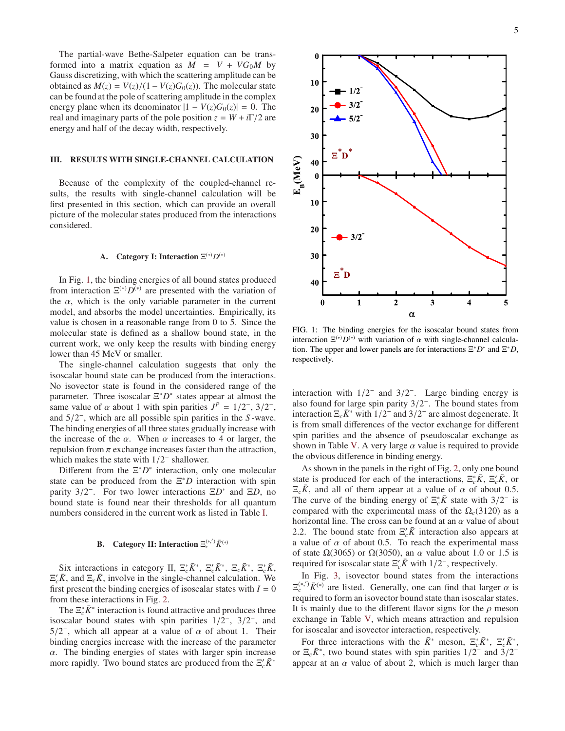The partial-wave Bethe-Salpeter equation can be transformed into a matrix equation as  $M = V + VG_0M$  by Gauss discretizing, with which the scattering amplitude can be obtained as  $M(z) = V(z)/(1 - V(z)G_0(z))$ . The molecular state can be found at the pole of scattering amplitude in the complex energy plane when its denominator  $|1 - V(z)G_0(z)| = 0$ . The real and imaginary parts of the pole position  $z = W + i\Gamma/2$  are energy and half of the decay width, respectively.

## <span id="page-4-0"></span>III. RESULTS WITH SINGLE-CHANNEL CALCULATION

Because of the complexity of the coupled-channel results, the results with single-channel calculation will be first presented in this section, which can provide an overall picture of the molecular states produced from the interactions considered.

### A. Category I: Interaction  $\Xi^{(*)}D^{(*)}$

In Fig. [1,](#page-4-1) the binding energies of all bound states produced from interaction  $\Xi^{(*)}\bar{D^{(*)}}$  are presented with the variation of the  $\alpha$ , which is the only variable parameter in the current model, and absorbs the model uncertainties. Empirically, its value is chosen in a reasonable range from 0 to 5. Since the molecular state is defined as a shallow bound state, in the current work, we only keep the results with binding energy lower than 45 MeV or smaller.

The single-channel calculation suggests that only the isoscalar bound state can be produced from the interactions. No isovector state is found in the considered range of the parameter. Three isoscalar  $\Xi^*D^*$  states appear at almost the same value of  $\alpha$  about 1 with spin parities  $J^P = 1/2^-$ ,  $3/2^-$ , and 5/2 − , which are all possible spin parities in the *S* -wave. The binding energies of all three states gradually increase with the increase of the  $\alpha$ . When  $\alpha$  increases to 4 or larger, the repulsion from  $\pi$  exchange increases faster than the attraction, which makes the state with  $1/2^-$  shallower.

Different from the  $\Xi^* D^*$  interaction, only one molecular state can be produced from the  $\Xi^* D$  interaction with spin parity 3/2<sup>−</sup>. For two lower interactions Ξ*D*<sup>∗</sup> and Ξ*D*, no bound state is found near their thresholds for all quantum numbers considered in the current work as listed in Table [I.](#page-1-0)

# **B.** Category II: Interaction  $\Xi_c^{(*,')} \bar{K}^{(*)}$

Six interactions in category II,  $\Xi_c^* \bar{K}^*$ ,  $\Xi_c' \bar{K}^*$ ,  $\Xi_c \bar{K}^*$ ,  $\Xi_c^* \bar{K}$ ,  $\Xi_c$ <sup>*K*</sup>, and  $\Xi_c$ *K*<sup>2</sup>, involve in the single-channel calculation. We first present the binding energies of isoscalar states with  $I = 0$ from these interactions in Fig. [2.](#page-5-1)

The  $\Xi_c^* \bar{K}^*$  interaction is found attractive and produces three isoscalar bound states with spin parities  $1/2^-$ ,  $3/2^-$ , and  $5/2^-$ , which all appear at a value of  $\alpha$  of about 1. Their binding energies increase with the increase of the parameter  $\alpha$ . The binding energies of states with larger spin increase more rapidly. Two bound states are produced from the  $\Xi_c$ ',  $\bar{K}^*$ 



<span id="page-4-1"></span>FIG. 1: The binding energies for the isoscalar bound states from interaction  $\Xi^{(*)}D^{(*)}$  with variation of  $\alpha$  with single-channel calculation. The upper and lower panels are for interactions  $\Xi^* D^*$  and  $\Xi^* D$ , respectively.

interaction with  $1/2^-$  and  $3/2^-$ . Large binding energy is also found for large spin parity  $3/2^-$ . The bound states from interaction  $\Xi_c \bar{K}^*$  with  $1/2^-$  and  $3/2^-$  are almost degenerate. It is from small differences of the vector exchange for different spin parities and the absence of pseudoscalar exchange as shown in Table [V.](#page-3-0) A very large  $\alpha$  value is required to provide the obvious difference in binding energy.

As shown in the panels in the right of Fig. [2,](#page-5-1) only one bound state is produced for each of the interactions,  $\Xi_c^* \bar{K}$ ,  $\Xi_c' \bar{K}$ , or  $\Xi_c \bar{K}$ , and all of them appear at a value of  $\alpha$  of about 0.5. The curve of the binding energy of  $\Xi_c^* \bar{K}$  state with 3/2<sup>-</sup> is compared with the experimental mass of the  $\Omega_c(3120)$  as a horizontal line. The cross can be found at an  $\alpha$  value of about 2.2. The bound state from  $\Xi_c$ <sup>*K*</sup> interaction also appears at a value of  $\alpha$  of about 0.5. To reach the experimental mass of state  $\Omega(3065)$  or  $\Omega(3050)$ , an  $\alpha$  value about 1.0 or 1.5 is required for isoscalar state  $\Xi_c^{\prime} \bar{K}$  with  $1/2^-$ , respectively.

In Fig. [3,](#page-5-2) isovector bound states from the interactions  $\Xi_c^{(*,')} \bar{K}^{(*)}$  are listed. Generally, one can find that larger  $\alpha$  is required to form an isovector bound state than isoscalar states. It is mainly due to the different flavor signs for the  $\rho$  meson exchange in Table [V,](#page-3-0) which means attraction and repulsion for isoscalar and isovector interaction, respectively.

For three interactions with the  $\bar{K}^*$  meson,  $\Xi_c^* \bar{K}^*$ ,  $\Xi_c' \bar{K}^*$ , or  $\Xi_c \bar{K}^*$ , two bound states with spin parities  $1/2^-$  and  $3/2^$ appear at an  $\alpha$  value of about 2, which is much larger than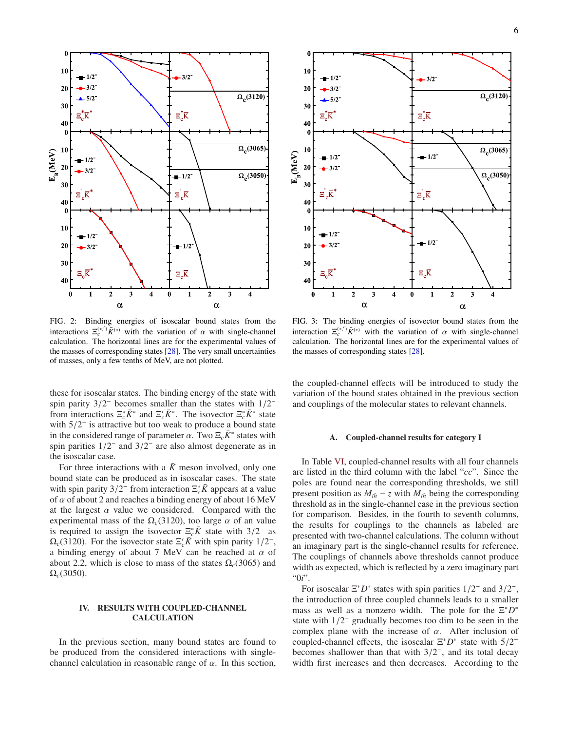

<span id="page-5-1"></span>FIG. 2: Binding energies of isoscalar bound states from the interactions  $\Xi_c^{(*,')} \bar{K}^{(*)}$  with the variation of  $\alpha$  with single-channel calculation. The horizontal lines are for the experimental values of the masses of corresponding states [\[28](#page-10-5)]. The very small uncertainties of masses, only a few tenths of MeV, are not plotted.

these for isoscalar states. The binding energy of the state with spin parity  $3/2^-$  becomes smaller than the states with  $1/2^$ from interactions  $\Xi_c^* \bar{K}^*$  and  $\Xi_c' \bar{K}^*$ . The isovector  $\Xi_c^* \bar{K}^*$  state with  $5/2^-$  is attractive but too weak to produce a bound state in the considered range of parameter  $\alpha$ . Two  $\Xi_c \bar{K}^*$  states with spin parities  $1/2^-$  and  $3/2^-$  are also almost degenerate as in the isoscalar case.

For three interactions with a  $\bar{K}$  meson involved, only one bound state can be produced as in isoscalar cases. The state with spin parity  $3/2^-$  from interaction  $\Xi_c^* \bar{K}$  appears at a value of  $\alpha$  of about 2 and reaches a binding energy of about 16 MeV at the largest  $\alpha$  value we considered. Compared with the experimental mass of the  $\Omega_c(3120)$ , too large  $\alpha$  of an value is required to assign the isovector  $\Xi_c^* \bar{K}$  state with 3/2<sup>-</sup> as  $\Omega_c(3120)$ . For the isovector state  $\Xi_c' K$  with spin parity  $1/2^-$ , a binding energy of about 7 MeV can be reached at  $\alpha$  of about 2.2, which is close to mass of the states  $\Omega_c(3065)$  and  $\Omega_c(3050)$ .

### <span id="page-5-0"></span>IV. RESULTS WITH COUPLED-CHANNEL CALCULATION

In the previous section, many bound states are found to be produced from the considered interactions with singlechannel calculation in reasonable range of  $\alpha$ . In this section,



<span id="page-5-2"></span>FIG. 3: The binding energies of isovector bound states from the interaction  $\Xi_c^{(*,')} \bar{K}^{(*)}$  with the variation of  $\alpha$  with single-channel calculation. The horizontal lines are for the experimental values of the masses of corresponding states [\[28](#page-10-5)].

the coupled-channel effects will be introduced to study the variation of the bound states obtained in the previous section and couplings of the molecular states to relevant channels.

#### A. Coupled-channel results for category I

In Table [VI,](#page-6-0) coupled-channel results with all four channels are listed in the third column with the label "*cc*". Since the poles are found near the corresponding thresholds, we still present position as  $M_{th} - z$  with  $M_{th}$  being the corresponding threshold as in the single-channel case in the previous section for comparison. Besides, in the fourth to seventh columns, the results for couplings to the channels as labeled are presented with two-channel calculations. The column without an imaginary part is the single-channel results for reference. The couplings of channels above thresholds cannot produce width as expected, which is reflected by a zero imaginary part "0*i*".

For isoscalar  $\Xi^* D^*$  states with spin parities  $1/2^-$  and  $3/2^-$ , the introduction of three coupled channels leads to a smaller mass as well as a nonzero width. The pole for the  $\Xi^* D^*$ state with  $1/2^-$  gradually becomes too dim to be seen in the complex plane with the increase of  $\alpha$ . After inclusion of coupled-channel effects, the isoscalar  $\Xi^* D^*$  state with  $5/2^$ becomes shallower than that with  $3/2^-$ , and its total decay width first increases and then decreases. According to the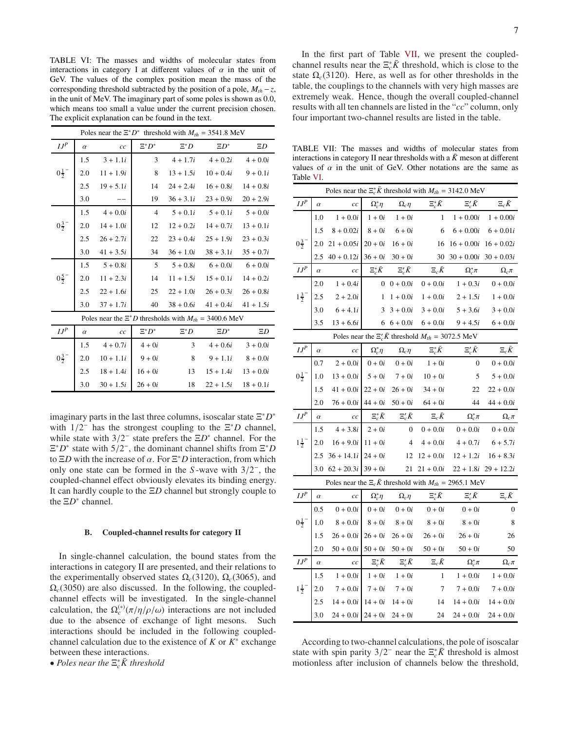<span id="page-6-0"></span>TABLE VI: The masses and widths of molecular states from interactions in category I at different values of  $\alpha$  in the unit of GeV. The values of the complex position mean the mass of the corresponding threshold subtracted by the position of a pole,  $M_{th}$  – z, in the unit of MeV. The imaginary part of some poles is shown as 0.0, which means too small a value under the current precision chosen. The explicit explanation can be found in the text.

|                       | Poles near the $\Xi^* D^*$ threshold with $M_{th} = 3541.8$ MeV |                                                                |                |             |                         |             |  |  |  |
|-----------------------|-----------------------------------------------------------------|----------------------------------------------------------------|----------------|-------------|-------------------------|-------------|--|--|--|
| $I\ensuremath{J^{P}}$ | $\alpha$                                                        | cc                                                             | $\Xi^* D^*$    | $\Xi^*D$    | $\Xi D^*$               | $\Xi D$     |  |  |  |
|                       | 1.5                                                             | $3 + 1.1i$                                                     | 3              | $4 + 1.7i$  | $4 + 0.2i$              | $4 + 0.0i$  |  |  |  |
| $0\frac{1}{2}^{-}$    | 2.0                                                             | $11 + 1.9i$                                                    | 8              | $13 + 1.5i$ | $10 + 0.4i$             | $9 + 0.1i$  |  |  |  |
|                       | 2.5                                                             | $19 + 5.1i$                                                    | 14             | $24 + 2.4i$ | $16 + 0.8i$             | $14 + 0.8i$ |  |  |  |
|                       | 3.0                                                             |                                                                | 19             | $36 + 3.1i$ | $23 + 0.9i$             | $20 + 2.9i$ |  |  |  |
|                       | 1.5                                                             | $4 + 0.0i$                                                     | $\overline{4}$ | $5 + 0.1i$  | $5 + 0.1i$              | $5 + 0.0i$  |  |  |  |
| $0\frac{3}{2}$        | 2.0                                                             | $14 + 1.0i$                                                    | 12             | $12 + 0.2i$ | $14 + 0.7i$             | $13 + 0.1i$ |  |  |  |
|                       | 2.5                                                             | $26 + 2.7i$                                                    | 22             | $23 + 0.4i$ | $25 + 1.9i$             | $23 + 0.3i$ |  |  |  |
|                       | 3.0                                                             | $41 + 3.5i$                                                    | 34             | $36 + 1.0i$ | $38 + 3.1i$             | $35 + 0.7i$ |  |  |  |
|                       | 1.5                                                             | $5 + 0.8i$                                                     | -5             | $5 + 0.8i$  | $6 + 0.0i$              | $6 + 0.0i$  |  |  |  |
| $0\frac{5}{2}^{-}$    | 2.0                                                             | $11 + 2.3i$                                                    | 14             | $11 + 1.5i$ | $15 + 0.1i$             | $14 + 0.2i$ |  |  |  |
|                       | 2.5                                                             | $22 + 1.6i$                                                    | 25             | $22 + 1.0i$ | $26 + 0.3i$             | $26 + 0.8i$ |  |  |  |
|                       | 3.0                                                             | $37 + 1.7i$                                                    | 40             |             | $38 + 0.6i$ $41 + 0.4i$ | $41 + 1.5i$ |  |  |  |
|                       |                                                                 | Poles near the $\Xi^* D$ thresholds with $M_{th} = 3400.6$ MeV |                |             |                         |             |  |  |  |
| $IJ^P$                | $\alpha$                                                        | cc                                                             | $\Xi^* D^*$    | $\Xi^*D$    | $\Xi D^*$               | $\Xi D$     |  |  |  |
|                       | 1.5                                                             | $4 + 0.7i$                                                     | $4+0i$         | 3           | $4 + 0.6i$              | $3 + 0.0i$  |  |  |  |
| $0\frac{3}{2}^{-}$    | 2.0                                                             | $10 + 1.1i$                                                    | $9+0i$         | 8           | $9 + 1.1i$              | $8 + 0.0i$  |  |  |  |
|                       | 2.5                                                             | $18 + 1.4i$                                                    | $16 + 0i$      | 13          | $15 + 1.4i$             | $13 + 0.0i$ |  |  |  |
|                       | 3.0                                                             | $30 + 1.5i$                                                    | $26 + 0i$      | 18          | $22 + 1.5i$             | $18 + 0.1i$ |  |  |  |

imaginary parts in the last three columns, isoscalar state  $\Xi^* D^*$ with  $1/2^-$  has the strongest coupling to the  $E^*D$  channel, while state with  $3/2^-$  state prefers the  $\Xi D^*$  channel. For the  $\Xi^* D^*$  state with  $5/2^-$ , the dominant channel shifts from  $\Xi^* D$ to  $\Xi D$  with the increase of  $\alpha$ . For  $\Xi^* D$  interaction, from which only one state can be formed in the S-wave with  $3/2^-$ , the coupled-channel effect obviously elevates its binding energy. It can hardly couple to the  $\Xi D$  channel but strongly couple to the  $\Xi D^*$  channel.

#### В. Coupled-channel results for category II

In single-channel calculation, the bound states from the interactions in category II are presented, and their relations to the experimentally observed states  $\Omega_c(3120)$ ,  $\Omega_c(3065)$ , and  $\Omega_c(3050)$  are also discussed. In the following, the coupledchannel effects will be investigated. In the single-channel calculation, the  $\Omega_c^{(*)}(\pi/\eta/\rho/\omega)$  interactions are not included due to the absence of exchange of light mesons. Such interactions should be included in the following coupledchannel calculation due to the existence of  $K$  or  $K^*$  exchange between these interactions.

• Poles near the  $\Xi_c^* \bar{K}$  threshold

In the first part of Table VII, we present the coupledchannel results near the  $\Xi_c^* \bar{K}$  threshold, which is close to the state  $\Omega_c(3120)$ . Here, as well as for other thresholds in the table, the couplings to the channels with very high masses are extremely weak. Hence, though the overall coupled-channel results with all ten channels are listed in the "cc" column, only four important two-channel results are listed in the table.

<span id="page-6-1"></span>TABLE VII: The masses and widths of molecular states from interactions in category II near thresholds with a  $\bar{K}$  meson at different values of  $\alpha$  in the unit of GeV. Other notations are the same as Table VI.

| Poles near the $\Xi_c^* \bar{K}$ threshold with $M_{th} = 3142.0 \text{ MeV}$ |          |                                                                     |                   |                  |                   |                  |                         |  |  |  |
|-------------------------------------------------------------------------------|----------|---------------------------------------------------------------------|-------------------|------------------|-------------------|------------------|-------------------------|--|--|--|
| $I\ensuremath{J^{P}}$                                                         | $\alpha$ | cc                                                                  | $\Omega_c^*\eta$  | $\Omega_c\eta$   | $\Xi_c^* \bar{K}$ | $\Xi'_c\bar K$   | $\Xi_c\bar K$           |  |  |  |
|                                                                               | 1.0      | $1 + 0.0i$                                                          | $1+0i$            | $1+0i$           | $\mathbf{1}$      | $1 + 0.00i$      | $1 + 0.00i$             |  |  |  |
|                                                                               | 1.5      | $8 + 0.02i$                                                         | $8 + 0i$          | $6+0i$           | 6                 | $6 + 0.00i$      | $6 + 0.01i$             |  |  |  |
| $0\frac{3}{2}^{-}$                                                            | 2.0      | $21 + 0.05i$                                                        | $20 + 0i$         | $16 + 0i$        | 16                | $16 + 0.00i$     | $16 + 0.02i$            |  |  |  |
|                                                                               | 2.5      | $40 + 0.12i$                                                        | $36 + 0i$         | $30 + 0i$        | 30                | $30 + 0.00i$     | $30 + 0.03i$            |  |  |  |
| $I\ensuremath{J^{P}}\xspace$                                                  | $\alpha$ | cc                                                                  | $\Xi_c^* \bar{K}$ | $\Xi_c' \bar{K}$ | $\Xi_c \bar{K}$   | $\Omega_c^*\pi$  | $\Omega_c \pi$          |  |  |  |
|                                                                               | 2.0      | $1 + 0.4i$                                                          | $\mathbf{0}$      | $0 + 0.0i$       | $0 + 0.0i$        | $1 + 0.3i$       | $0 + 0.0i$              |  |  |  |
| $1\frac{3}{2}$                                                                | 2.5      | $2 + 2.0i$                                                          | $\mathbf{1}$      | $1+0.0i$         | $1 + 0.0i$        | $2 + 1.5i$       | $1 + 0.0i$              |  |  |  |
|                                                                               | 3.0      | $6 + 4.1i$                                                          | 3                 | $3 + 0.0i$       | $3 + 0.0i$        | $5 + 3.6i$       | $3 + 0.0i$              |  |  |  |
|                                                                               | 3.5      | $13 + 6.6i$                                                         | 6                 | $6 + 0.0i$       | $6 + 0.0i$        | $9 + 4.5i$       | $6 + 0.0i$              |  |  |  |
| Poles near the $\Xi_c' \bar{K}$ threshold $M_{th} = 3072.5$ MeV               |          |                                                                     |                   |                  |                   |                  |                         |  |  |  |
| $\mathfrak{I}\mathfrak{J}^P$                                                  | $\alpha$ | cc                                                                  | $\Omega_c^* \eta$ | $\Omega_c\eta$   | $\Xi_c^* \bar{K}$ | $\Xi_c' \bar{K}$ | $\Xi_c\bar K$           |  |  |  |
|                                                                               | 0.7      | $2 + 0.0i$                                                          | $0+0i$            | $0+0i$           | $1+0i$            | $\boldsymbol{0}$ | $0 + 0.0i$              |  |  |  |
| $0\frac{1}{2}^{-}$                                                            | 1.0      | $13 + 0.0i$                                                         | $5+0i$            | $7 + 0i$         | $10 + 0i$         | 5                | $5 + 0.0i$              |  |  |  |
|                                                                               | 1.5      | $41 + 0.0i$                                                         | $22 + 0i$         | $26 + 0i$        | $34 + 0i$         | 22               | $22 + 0.0i$             |  |  |  |
|                                                                               | 2.0      | $76 + 0.0i$                                                         | $44 + 0i$         | $50 + 0i$        | $64 + 0i$         | 44               | $44 + 0.0i$             |  |  |  |
| $I\ensuremath{J^{P}}\xspace$                                                  | $\alpha$ | cc                                                                  | $\Xi_c^* \bar{K}$ | $\Xi_c' \bar{K}$ | $\Xi_c\bar K$     | $\Omega_c^*\pi$  | $\Omega_c \pi$          |  |  |  |
|                                                                               | 1.5      | $4 + 3.8i$                                                          | $2 + 0i$          | $\boldsymbol{0}$ | $0+0.0i$          | $0+0.0i$         | $0+0.0i$                |  |  |  |
| $1\frac{1}{2}^{-}$                                                            | 2.0      | $16 + 9.0i$                                                         | $11 + 0i$         | $\overline{4}$   | $4+0.0i$          | $4 + 0.7i$       | $6 + 5.7i$              |  |  |  |
|                                                                               | 2.5      | $36 + 14.1i$                                                        | $24 + 0i$         | 12               | $12 + 0.0i$       | $12 + 1.2i$      | $16 + 8.3i$             |  |  |  |
|                                                                               |          | 3.0 $62 + 20.3i$                                                    | $39 + 0i$         | 21               | $21 + 0.0i$       |                  | $22 + 1.8i$ 29 + 12.2i  |  |  |  |
|                                                                               |          | Poles near the $\Xi_c \bar{K}$ threshold with $M_{th} = 2965.1$ MeV |                   |                  |                   |                  |                         |  |  |  |
| $\boldsymbol{I} \boldsymbol{J}^P$                                             | $\alpha$ | cc                                                                  | $\Omega_c^*\eta$  | $\Omega_c \eta$  | $\Xi_c^* \bar{K}$ | $\Xi_c' \bar{K}$ | $\Xi_c\bar K$           |  |  |  |
|                                                                               | 0.5      | $0 + 0.0i$                                                          | $0+0i$            | $0+0i$           | $0+0 \\ i$        | $0+0i$           | $\boldsymbol{0}$        |  |  |  |
| $0\frac{1}{2}^{-}$                                                            | 1.0      | $8+0.0i$                                                            | $8 + 0i$          | $8+0i$           | $8 + 0i$          | $8+0i$           | 8                       |  |  |  |
|                                                                               | 1.5      | $26 + 0.0i$                                                         | $26 + 0i$         | $26+0i$          | $26 + 0i$         | $26 + 0i$        | 26                      |  |  |  |
|                                                                               | 2.0      | $50 + 0.0i$                                                         | $50 + 0i$         | $50 + 0i$        | $50 + 0i$         | $50 + 0i$        | 50                      |  |  |  |
| $I\ensuremath{J^{P}}$                                                         | $\alpha$ | cc                                                                  | $\Xi_c^* \bar{K}$ | $\Xi_c' \bar{K}$ | $\Xi_c\bar K$     | $\Omega_c^*\pi$  | $\Omega_c \pi$          |  |  |  |
|                                                                               | 1.5      | $1 + 0.0i$                                                          | $1+0i$            | $1+0i$           | $\mathbf{1}$      | $1 + 0.0i$       | $1 + 0.0i$              |  |  |  |
| $1\frac{1}{2}$                                                                | 2.0      | $7 + 0.0i$                                                          | $7 + 0i$          | $7 + 0i$         | 7                 | $7 + 0.0i$       | $7 + 0.0i$              |  |  |  |
|                                                                               | 2.5      | $14 + 0.0i$                                                         | $14 + 0i$         | $14 + 0i$        | 14                | $14+0.0i$        | $14+0.0i$               |  |  |  |
|                                                                               | 30       | $24 + 0.0i$ $24 + 0i$ $24 + 0i$                                     |                   |                  | 24                |                  | $24 + 0.0i$ $24 + 0.0i$ |  |  |  |

According to two-channel calculations, the pole of isoscalar state with spin parity  $3/2^-$  near the  $\Xi_c^* \bar{K}$  threshold is almost motionless after inclusion of channels below the threshold,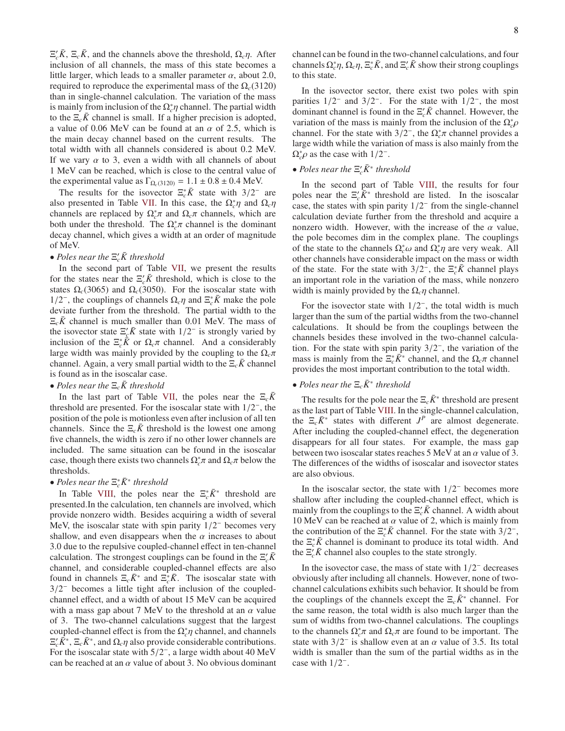$\Xi_c' \bar{K}$ ,  $\Xi_c \bar{K}$ , and the channels above the threshold,  $\Omega_c \eta$ . After inclusion of all channels, the mass of this state becomes a little larger, which leads to a smaller parameter  $\alpha$ , about 2.0, required to reproduce the experimental mass of the  $\Omega_c(3120)$ than in single-channel calculation. The variation of the mass is mainly from inclusion of the  $\Omega_c^* \eta$  channel. The partial width to the  $\Xi_c \bar{K}$  channel is small. If a higher precision is adopted, a value of 0.06 MeV can be found at an  $\alpha$  of 2.5, which is the main decay channel based on the current results. The total width with all channels considered is about 0.2 MeV. If we vary  $\alpha$  to 3, even a width with all channels of about 1 MeV can be reached, which is close to the central value of the experimental value as  $\Gamma_{\Omega_c(3120)} = 1.1 \pm 0.8 \pm 0.4$  MeV.

The results for the isovector  $\Xi_c^* \bar{K}$  state with 3/2<sup>-</sup> are also presented in Table [VII.](#page-6-1) In this case, the  $\Omega_c^* \eta$  and  $\Omega_c \eta$ channels are replaced by  $\Omega_c^* \pi$  and  $\Omega_c \pi$  channels, which are both under the threshold. The  $\Omega_c^*$  channel is the dominant decay channel, which gives a width at an order of magnitude of MeV.

# • *Poles near the*  $\Xi_c$ <sup>*k*</sup> *threshold*

In the second part of Table [VII,](#page-6-1) we present the results for the states near the  $\Xi_c$ <sup>*K*</sup> threshold, which is close to the states  $\Omega_c(3065)$  and  $\Omega_c(3050)$ . For the isoscalar state with 1/2<sup>-</sup>, the couplings of channels  $\Omega_c \eta$  and  $\Xi_c^* \bar{K}$  make the pole deviate further from the threshold. The partial width to the  $\Xi_c \overline{K}$  channel is much smaller than 0.01 MeV. The mass of the isovector state  $\Xi'_{\underline{\ell}} \overline{K}$  state with  $1/2^-$  is strongly varied by inclusion of the  $\Xi_c^* \bar{K}$  or  $\Omega_c \pi$  channel. And a considerably large width was mainly provided by the coupling to the  $\Omega_c \pi$ channel. Again, a very small partial width to the  $\Xi_c \overline{K}$  channel is found as in the isoscalar case.

### • *Poles near the*  $\Xi_c \overline{K}$  *threshold*

In the last part of Table [VII,](#page-6-1) the poles near the  $\Xi_c \bar{K}$ threshold are presented. For the isoscalar state with  $1/2^-$ , the position of the pole is motionless even after inclusion of all ten channels. Since the  $\Xi_c \bar{K}$  threshold is the lowest one among five channels, the width is zero if no other lower channels are included. The same situation can be found in the isoscalar case, though there exists two channels  $\Omega_c^* \pi$  and  $\Omega_c \pi$  below the thresholds.

# • *Poles near the*  $\Xi_c^* \bar{K}^*$  *threshold*

In Table [VIII,](#page-8-0) the poles near the  $\Xi_c^* \bar{K}^*$  threshold are presented.In the calculation, ten channels are involved, which provide nonzero width. Besides acquiring a width of several MeV, the isoscalar state with spin parity  $1/2^-$  becomes very shallow, and even disappears when the  $\alpha$  increases to about 3.0 due to the repulsive coupled-channel effect in ten-channel calculation. The strongest couplings can be found in the  $\Xi_c^{\prime} \bar{K}$ channel, and considerable coupled-channel effects are also found in channels  $\Xi_c \bar{K}^*$  and  $\bar{\Xi_c} \bar{K}$ . The isoscalar state with 3/2 − becomes a little tight after inclusion of the coupledchannel effect, and a width of about 15 MeV can be acquired with a mass gap about 7 MeV to the threshold at an  $\alpha$  value of 3. The two-channel calculations suggest that the largest coupled-channel effect is from the  $\Omega_c^* \eta$  channel, and channels  $\Xi'_c \vec{K}^*$ ,  $\Xi_c \vec{K}^*$ , and  $\Omega_c \eta$  also provide considerable contributions. For the isoscalar state with  $5/2^-$ , a large width about 40 MeV can be reached at an  $\alpha$  value of about 3. No obvious dominant channel can be found in the two-channel calculations, and four channels  $\Omega_c^* \eta$ ,  $\Omega_c \eta$ ,  $\Xi_c^* \bar{K}$ , and  $\Xi_c' \bar{K}$  show their strong couplings to this state.

In the isovector sector, there exist two poles with spin parities  $1/2^-$  and  $3/2^-$ . For the state with  $1/2^-$ , the most dominant channel is found in the  $\Xi_c^{\prime} \bar{K}$  channel. However, the variation of the mass is mainly from the inclusion of the  $\Omega_c^* \rho$ channel. For the state with  $3/2^-$ , the  $\Omega_c^* \pi$  channel provides a large width while the variation of mass is also mainly from the  $\Omega_c^* \rho$  as the case with 1/2<sup>-</sup>.

# • *Poles near the*  $\Xi_c$ <sup>*K*\*</sup> *threshold*

In the second part of Table [VIII,](#page-8-0) the results for four poles near the  $\Xi_c$ <sup>'</sup> $\bar{K}^*$  threshold are listed. In the isoscalar case, the states with spin parity  $1/2^-$  from the single-channel calculation deviate further from the threshold and acquire a nonzero width. However, with the increase of the  $\alpha$  value, the pole becomes dim in the complex plane. The couplings of the state to the channels  $\Omega_c^* \omega$  and  $\Omega_c^* \eta$  are very weak. All other channels have considerable impact on the mass or width of the state. For the state with  $3/2^{-}$ , the  $\Xi_c^* \bar{K}$  channel plays an important role in the variation of the mass, while nonzero width is mainly provided by the Ω*c*η channel.

For the isovector state with  $1/2^-$ , the total width is much larger than the sum of the partial widths from the two-channel calculations. It should be from the couplings between the channels besides these involved in the two-channel calculation. For the state with spin parity  $3/2^-$ , the variation of the mass is mainly from the  $\Xi_c^* \overline{\hat{K}}^*$  channel, and the  $\Omega_c \pi$  channel provides the most important contribution to the total width.

# • *Poles near the*  $\Xi_c \bar{K}^*$  *threshold*

The results for the pole near the  $\Xi_c \bar{K}^*$  threshold are present as the last part of Table [VIII.](#page-8-0) In the single-channel calculation, the  $\Xi_c \bar{K}^*$  states with different  $J^P$  are almost degenerate. After including the coupled-channel effect, the degeneration disappears for all four states. For example, the mass gap between two isoscalar states reaches 5 MeV at an  $\alpha$  value of 3. The differences of the widths of isoscalar and isovector states are also obvious.

In the isoscalar sector, the state with  $1/2^-$  becomes more shallow after including the coupled-channel effect, which is mainly from the couplings to the  $\Xi_c$  *K* channel. A width about 10 MeV can be reached at  $\alpha$  value of 2, which is mainly from the contribution of the  $\Xi_c^* \bar{K}$  channel. For the state with  $3/2^-$ , the  $\Xi_c^* \bar{K}$  channel is dominant to produce its total width. And the  $\Xi_c$ <sup>*K*</sup> channel also couples to the state strongly.

In the isovector case, the mass of state with  $1/2^-$  decreases obviously after including all channels. However, none of twochannel calculations exhibits such behavior. It should be from the couplings of the channels except the  $\Xi_c \bar{K}^*$  channel. For the same reason, the total width is also much larger than the sum of widths from two-channel calculations. The couplings to the channels  $\Omega_c^* \pi$  and  $\Omega_c \pi$  are found to be important. The state with  $3/2^-$  is shallow even at an  $\alpha$  value of 3.5. Its total width is smaller than the sum of the partial widths as in the case with  $1/2^-$ .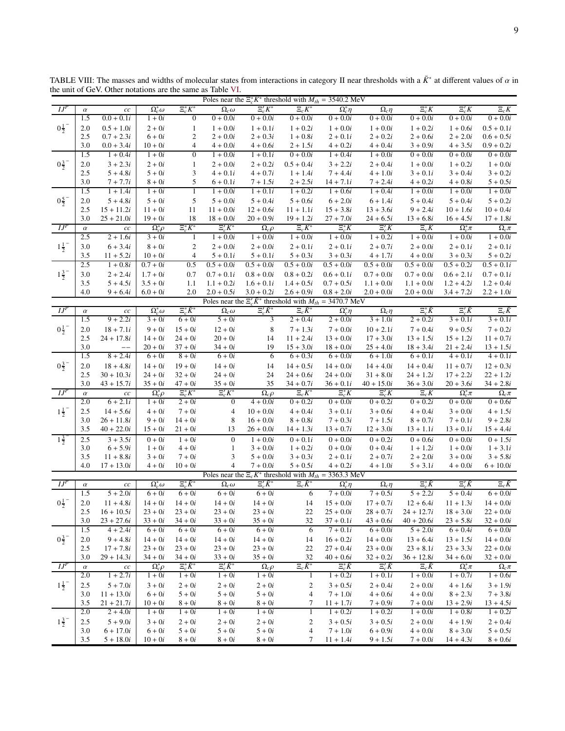<span id="page-8-0"></span>

|                     |                 | the unit of GeV. Other notations are the same as Table VI. |                                |                                |                               |                                                                         |                          |                                |                              |                                 |                            |                            |
|---------------------|-----------------|------------------------------------------------------------|--------------------------------|--------------------------------|-------------------------------|-------------------------------------------------------------------------|--------------------------|--------------------------------|------------------------------|---------------------------------|----------------------------|----------------------------|
|                     |                 |                                                            |                                |                                |                               | Poles near the $\Xi_c^* \bar{K}^*$ threshold with $M_{th} = 3540.2$ MeV |                          |                                |                              |                                 |                            |                            |
| $IJ^P$              | $\alpha$        | $cc\,$                                                     | $\Omega_c^*\omega$             | $\Xi_c^* \bar K^*$             | $\Omega_c \omega$             | $\Xi_c' \bar K^*$                                                       | $\Xi_c\bar{K}^*$         | $\overline{\Omega}_c^*\eta$    | $\overline{\Omega}_c \eta$   | $\Xi_c^* \bar{K}$               | $\Xi_c' \bar{K}$           | $\Xi_c\bar K$              |
|                     | 1.5             | $0.0 + 0.1i$                                               | $1+0i$                         | $\overline{0}$                 | $0 + 0.0i$                    | $0 + 0.0i$                                                              | $0 + 0.0i$               | $0 + 0.0i$                     | $0 + 0.0i$                   | $0 + 0.0i$                      | $0 + 0.0i$                 | $0 + 0.0i$                 |
| $0\frac{1}{2}$      | 2.0             | $0.5 + 1.0i$                                               | $2 + 0i$                       | $\mathbf{1}$                   | $1 + 0.0i$                    | $1 + 0.1i$                                                              | $1 + 0.2i$               | $1 + 0.0i$                     | $1 + 0.0i$                   | $1 + 0.2i$                      | $1 + 0.6i$                 | $0.5 + 0.1i$               |
|                     | 2.5             | $0.7 + 2.3i$                                               | $6+0i$                         | $\boldsymbol{2}$               | $2 + 0.0i$                    | $2 + 0.3i$                                                              | $1 + 0.8i$               | $2 + 0.1i$                     | $2 + 0.2i$                   | $2 + 0.6i$                      | $2 + 2.0i$                 | $0.6 + 0.5i$               |
|                     | 3.0             | $0.0 + 3.4i$                                               | $10 + 0i$                      | $\overline{4}$                 | $4 + 0.0i$                    | $4 + 0.6i$                                                              | $2 + 1.5i$               | $4 + 0.2i$                     | $4 + 0.4i$                   | $3 + 0.9i$                      | $4 + 3.5i$                 | $0.9 + 0.2i$               |
|                     | 1.5             | $1 + 0.4i$                                                 | $1+0i$                         | $\overline{0}$                 | $1 + 0.0i$                    | $1 + 0.1i$                                                              | $0 + 0.0i$               | $1 + 0.4i$                     | $1 + 0.0i$                   | $0 + 0.0i$                      | $0 + 0.0i$                 | $0 + 0.0i$                 |
| $0^{\frac{3}{2}^-}$ | 2.0             | $3 + 2.3i$                                                 | $2 + 0i$                       | $\mathbf{1}$                   | $2 + 0.0i$                    | $2 + 0.2i$                                                              | $0.5 + 0.4i$             | $3 + 2.2i$                     | $2 + 0.4i$                   | $1 + 0.0i$                      | $1 + 0.2i$                 | $1 + 0.0i$                 |
|                     | 2.5<br>3.0      | $5 + 4.8i$                                                 | $5 + 0i$                       | 3                              | $4 + 0.1i$                    | $4 + 0.7i$                                                              | $1 + 1.4i$               | $7 + 4.4i$                     | $4 + 1.0i$                   | $3 + 0.1i$                      | $3 + 0.4i$                 | $3 + 0.2i$                 |
|                     |                 | $7 + 7.7i$                                                 | $8 + 0i$                       | 5<br>1                         | $6 + 0.1i$                    | $7 + 1.5i$                                                              | $2 + 2.5i$               | $14 + 7.1i$                    | $7 + 2.4i$                   | $4 + 0.2i$                      | $4 + 0.8i$                 | $5 + 0.5i$                 |
| $0\frac{5}{2}$      | 1.5<br>2.0      | $1 + 1.4i$<br>$5 + 4.8i$                                   | $1+0i$                         | 5                              | $1 + 0.0i$<br>$5 + 0.0i$      | $1 + 0.1i$<br>$5 + 0.4i$                                                | $1 + 0.2i$<br>$5 + 0.6i$ | $1 + 0.6i$                     | $1 + 0.4i$                   | $1 + 0.0i$<br>$5 + 0.4i$        | $1 + 0.0i$<br>$5 + 0.4i$   | $1 + 0.0i$<br>$5 + 0.2i$   |
|                     | 2.5             | $15 + 11.2i$                                               | $5+0i$<br>$11 + 0i$            | 11                             | $11 + 0.0i$                   | $12 + 0.6i$                                                             | $11 + 1.1i$              | $6 + 2.0i$<br>$15 + 3.8i$      | $6 + 1.4i$<br>$13 + 3.6i$    | $9 + 2.4i$                      | $10 + 1.6i$                | $10 + 0.4i$                |
|                     | 3.0             | $25 + 21.0i$                                               | $19 + 0i$                      | 18                             | $18 + 0.0i$                   | $20 + 0.9i$                                                             | $19 + 1.2i$              | $27 + 7.0i$                    | $24 + 6.5i$                  | $13 + 6.8i$                     | $16 + 4.5i$                | $17 + 1.8i$                |
| $I J^P$             | $\alpha$        | $c\bar{c}$                                                 | $\Omega_c^*\rho$               | $\Xi_c^* \bar K^*$             | $\Xi_c' \bar K^*$             | $\Omega_c \rho$                                                         | $\Xi_c\bar{K}^*$         | $\Xi_c^* \bar{K}$              | $\Xi_c' \bar{K}$             | $\Xi_c\bar K$                   | $\Omega_c^*\pi$            | $\Omega_c \pi$             |
|                     | 2.5             | $2 + 1.6i$                                                 | $3 + 0i$                       | $\mathbf{1}$                   | $1 + 0.0i$                    | $1 + 0.0i$                                                              | $1 + 0.0i$               | $1 + 0.0i$                     | $1 + 0.2i$                   | $1 + 0.0i$                      | $1 + 0.0i$                 | $1 + 0.0i$                 |
| $1\frac{1}{2}$      | 3.0             | $6 + 3.4i$                                                 | $8 + 0i$                       | $\sqrt{2}$                     | $2+0.0i$                      | $2 + 0.0i$                                                              | $2 + 0.1i$               | $2 + 0.1i$                     | $2 + 0.7i$                   | $2 + 0.0i$                      | $2 + 0.1i$                 | $2 + 0.1i$                 |
|                     | 3.5             | $11 + 5.2i$                                                | $10 + 0i$                      | $\overline{4}$                 | $5 + 0.1i$                    | $5 + 0.1i$                                                              | $5 + 0.3i$               | $3 + 0.3i$                     | $4 + 1.7i$                   | $4 + 0.0i$                      | $3 + 0.3i$                 | $5 + 0.2i$                 |
|                     | 2.5             | $1 + 0.8i$                                                 | $0.7 + 0i$                     | 0.5                            | $0.5 + 0.0i$                  | $0.5 + 0.0i$                                                            | $0.5 + 0.0i$             | $0.5 + 0.0i$                   | $0.5 + 0.0i$                 | $0.5 + 0.0i$                    | $0.5 + 0.2i$               | $0.5 + 0.1i$               |
| $1\frac{3}{2}$      | 3.0             | $2 + 2.4i$                                                 | $1.7 + 0i$                     | 0.7                            | $0.7 + 0.1i$                  | $0.8 + 0.0i$                                                            | $0.8 + 0.2i$             | $0.6 + 0.1i$                   | $0.7 + 0.0i$                 | $0.7 + 0.0i$                    | $0.6 + 2.1i$               | $0.7 + 0.1i$               |
|                     | 3.5             | $5 + 4.5i$                                                 | $3.5 + 0i$                     | 1.1                            | $1.1 + 0.2i$                  | $1.6 + 0.1i$                                                            | $1.4 + 0.5i$             | $0.7 + 0.5i$                   | $1.1 + 0.0i$                 | $1.1 + 0.0i$                    | $1.2 + 4.2i$               | $1.2 + 0.4i$               |
|                     | 4.0             | $9 + 6.4i$                                                 | $6.0 + 0i$                     | 2.0                            | $2.0 + 0.5i$                  | $3.0 + 0.2i$                                                            | $2.6 + 0.9i$             | $0.8 + 2.0i$                   | $2.0 + 0.0i$                 | $2.0 + 0.0i$                    | $3.4 + 7.2i$               | $2.2 + 1.0i$               |
|                     |                 |                                                            |                                |                                |                               | Poles near the $\Xi'_c \bar{K}^*$ threshold with $M_{th} = 3470.7$ MeV  |                          |                                |                              |                                 |                            |                            |
| $\overline{H}$      | $\alpha$        | $c\bar{c}$                                                 | $\Omega_c^*\omega$             | $\Xi_c^* \bar K^*$             | $\Omega_c\omega$              | $\Xi_{c}^{\prime}\bar{K}^{*}$                                           | $\Xi_c\bar{K}^*$         | $\overline{\Omega_c^*\eta}$    | $\Omega_c \eta$              | $\Xi_c^* \bar{K}$               | $\Xi_c' \bar{K}$           | $\Xi_c\bar{K}$             |
|                     | 1.5             | $9 + 2.2i$                                                 | $3 + 0i$                       | $6+0i$                         | $5+0i$                        | 3                                                                       | $2 + 0.4i$               | $2 + 0.0i$                     | $3 + 1.0i$                   | $2 + 0.2i$                      | $3 + 0.1i$                 | $3 + 0.1i$                 |
| $0^{\frac{1}{2}^-}$ | 2.0             | $18 + 7.1i$                                                | $9+0i$                         | $15 + 0i$                      | $12 + 0i$                     | 8                                                                       | $7 + 1.3i$               | $7 + 0.0i$                     | $10 + 2.1i$                  | $7 + 0.4i$                      | $9 + 0.5i$                 | $7 + 0.2i$                 |
|                     | 2.5             | $24 + 17.8i$                                               | $14 + 0i$                      | $24 + 0i$                      | $20 + 0i$                     | 14                                                                      | $11 + 2.4i$              | $13 + 0.0i$                    | $17 + 3.0i$                  | $13 + 1.5i$                     | $15 + 1.2i$                | $11 + 0.7i$                |
|                     | 3.0             |                                                            | $20 + 0i$                      | $37 + 0i$                      | $34 + 0i$                     | 19                                                                      | $15 + 3.0i$              | $18 + 0.0i$                    | $25 + 4.0i$                  | $18 + 3.4i$                     | $21 + 2.4i$                | $13 + 1.5i$                |
|                     | 1.5             | $8 + 2.4i$                                                 | $6+0i$                         | $8 + 0i$                       | $6+0i$                        | 6                                                                       | $6 + 0.3i$               | $6 + 0.0i$                     | $6 + 1.0i$                   | $6 + 0.1i$                      | $4 + 0.1i$                 | $4 + 0.1i$                 |
| $0\frac{3}{2}$      | 2.0             | $18 + 4.8i$                                                | $14 + 0i$                      | $19 + 0i$                      | $14 + 0i$                     | 14                                                                      | $14 + 0.5i$              | $14 + 0.0i$                    | $14 + 4.0i$                  | $14 + 0.4i$                     | $11 + 0.7i$                | $12 + 0.3i$                |
|                     | 2.5             | $30 + 10.3i$                                               | $24 + 0i$                      | $32 + 0i$                      | $24 + 0i$                     | 24                                                                      | $24 + 0.6i$              | $24 + 0.0i$                    | $31 + 8.0i$                  | $24 + 1.2i$                     | $17 + 2.2i$                | $22 + 1.2i$                |
|                     | 3.0             | $43 + 15.7i$                                               | $35 + 0i$                      | $47 + 0i$                      | $35 + 0i$                     | 35                                                                      | $34 + 0.7i$              | $36 + 0.1i$                    | $40 + 15.0i$                 | $36 + 3.0i$                     | $20 + 3.6i$                | $34 + 2.8i$                |
| $IJ^P$              | $\alpha$        | $c\hspace{0.02cm}c$                                        | $\Omega_c^*\rho$               | $\Xi_c^* \bar K^*$             | $\Xi_c' \bar K^*$             | $\Omega_c \rho$                                                         | $\Xi_c\bar{K}^*$         | $\Xi_c^* \bar{K}$              | $\Xi_c' \bar{K}$             | $\Xi_c\bar K$                   | $\Omega_c^*\pi$            | $\Omega_c \pi$             |
|                     | 2.0             | $6 + 2.1i$                                                 | $1+0i$                         | $2 + 0i$                       | $\mathbf{0}$                  | $4 + 0.0i$                                                              | $0 + 0.2i$               | $0 + 0.0i$                     | $0 + 0.2i$                   | $0 + 0.2i$                      | $0 + 0.0i$                 | $0 + 0.6i$                 |
| $1\frac{1}{2}^{-}$  | 2.5             | $14 + 5.6i$                                                | $4+0i$                         | $7+0i$                         | $\overline{4}$                | $10 + 0.0i$                                                             | $4 + 0.4i$               | $3 + 0.1i$                     | $3 + 0.6i$                   | $4 + 0.4i$                      | $3 + 0.0i$                 | $4 + 1.5i$                 |
|                     | 3.0             | $26 + 11.8i$                                               | $9+0i$                         | $14 + 0i$                      | 8                             | $16 + 0.0i$                                                             | $8 + 0.8i$               | $7 + 0.3i$                     | $7 + 1.5i$                   | $8 + 0.7i$                      | $7 + 0.1i$                 | $9 + 2.8i$                 |
|                     | 3.5             | $40 + 22.0i$                                               | $15 + 0i$                      | $21 + 0i$                      | 13                            | $26 + 0.0i$                                                             | $14 + 1.3i$              | $13 + 0.7i$                    | $12 + 3.0i$                  | $13 + 1.1i$                     | $13 + 0.1i$                | $15 + 4.4i$                |
| $1\frac{3}{2}$      | 2.5             | $3 + 3.5i$                                                 | $0+0i$                         | $1 + 0i$                       | $\boldsymbol{0}$              | $1 + 0.0i$                                                              | $0 + 0.1i$               | $0 + 0.0i$                     | $0 + 0.2i$                   | $0 + 0.6i$                      | $0 + 0.0i$                 | $0 + 1.5i$                 |
|                     | 3.0             | $6 + 5.9i$                                                 | $1+0i$                         | $4+0i$                         | $\mathbf{1}$                  | $3 + 0.0i$                                                              | $1 + 0.2i$               | $0 + 0.0i$                     | $0 + 0.4i$                   | $1 + 1.2i$                      | $1 + 0.0i$                 | $1 + 3.1i$                 |
|                     | 3.5             | $11 + 8.8i$                                                | $3+0i$                         | $7+0i$                         | 3                             | $5 + 0.0i$                                                              | $3 + 0.3i$               | $2 + 0.1i$                     | $2 + 0.7i$                   | $2 + 2.0i$                      | $3 + 0.0i$                 | $3 + 5.8i$                 |
|                     | 4.0             | $17 + 13.0i$                                               | $4+0i$                         | $10 + 0i$                      | $\overline{4}$                | $7+0.0i$                                                                | $5 + 0.5i$               | $4 + 0.2i$                     | $4 + 1.0i$                   | $5 + 3.1i$                      | $4 + 0.0i$                 | $6 + 10.0i$                |
| $I$ $JF$            |                 |                                                            |                                | $\overline{\Xi_c^* \bar{K}^*}$ |                               | Poles near the $\Xi_c \bar{K}^*$ threshold with $M_{th} = 3363.3$ MeV   |                          |                                |                              |                                 |                            |                            |
|                     | $\alpha$<br>1.5 | $cc\,$<br>$5 + 2.0i$                                       | $\Omega_c^*\omega$<br>$6 + 0i$ | $6 + 0i$                       | $\Omega_c \omega$<br>$6 + 0i$ | $\Xi_c' \bar K^*$<br>$6 + 0i$                                           | $\Xi_c\bar K$<br>6       | $\Omega_c^*\eta$<br>$7 + 0.0i$ | $\Omega_c\eta$<br>$7 + 0.5i$ | $\Xi_c^* \bar{K}$<br>$5 + 2.2i$ | $\Xi_-' K$<br>$5 + 0.4i$   | $\Xi_c K$<br>$6 + 0.0i$    |
|                     |                 |                                                            |                                |                                |                               |                                                                         |                          |                                |                              |                                 |                            |                            |
| $0\frac{1}{2}$      | 2.0<br>2.5      | $11 + 4.8i$<br>$16 + 10.5i$                                | $14 + 0i$<br>$23 + 0i$         | $14 + 0i$<br>$23 + 0i$         | $14 + 0i$<br>$23 + 0i$        | $14 + 0i$<br>$23 + 0i$                                                  | 14<br>22                 | $15 + 0.0i$<br>$25 + 0.0i$     | $17 + 0.7i$<br>$28 + 0.7i$   | $12 + 6.4i$<br>$24 + 12.7i$     | $11 + 1.3i$<br>$18 + 3.0i$ | $14 + 0.0i$<br>$22 + 0.0i$ |
|                     | 3.0             | $23 + 27.6i$                                               | $33 + 0i$                      | $34 + 0i$                      | $33 + 0i$                     | $35 + 0i$                                                               | 32                       | $37 + 0.1i$                    | $43 + 0.6i$                  | $40 + 20.6i$                    | $23+5.8i$                  | $32 + 0.0i$                |
|                     | 1.5             | $4 + 2.4i$                                                 | $6+0i$                         | $6+0i$                         | $6 + 0i$                      | $6 + 0i$                                                                | 6                        | $7 + 0.1i$                     | $6 + 0.0i$                   | $5 + 2.0i$                      | $6 + 0.4i$                 | $6 + 0.0i$                 |
| $0\frac{3}{2}$      | 2.0             | $9 + 4.8i$                                                 | $14 + 0i$                      | $14 + 0i$                      | $14 + 0i$                     | $14 + 0i$                                                               | 14                       | $16 + 0.2i$                    | $14 + 0.0i$                  | $13 + 6.4i$                     | $13 + 1.5i$                | $14 + 0.0i$                |
|                     | 2.5             | $17 + 7.8i$                                                | $23 + 0i$                      | $23 + 0i$                      | $23 + 0i$                     | $23 + 0i$                                                               | 22                       | $27 + 0.4i$                    | $23 + 0.0i$                  | $23 + 8.1i$                     | $23 + 3.3i$                | $22 + 0.0i$                |
|                     | 3.0             | $29 + 14.3i$                                               | $34 + 0i$                      | $34 + 0i$                      | $33 + 0i$                     | $35 + 0i$                                                               | 32                       | $40 + 0.6i$                    | $32 + 0.2i$                  | $36 + 12.8i$                    | $34 + 6.0i$                | $32 + 0.0i$                |
| $IJ^P$              | $\alpha$        | $c\hspace{0.02cm}c$                                        | $\Omega_c^*\rho$               | $\Xi_c^* \bar K^*$             | $\Xi_c' \bar K^*$             | $\Omega_c \rho$                                                         | $\Xi_c\bar{K}^*$         | $\Xi_c^* \bar{K}$              | $\Xi_{c}'\bar{K}$            | $\Xi_c\bar{K}$                  | $\Omega_c^*\pi$            | $\Omega_c \pi$             |
|                     | 2.0             | $1 + 2.7i$                                                 | $1+0i$                         | $1+0i$                         | $1+0i$                        | $1 + 0i$                                                                | $\mathbf{1}$             | $1 + 0.2i$                     | $1 + 0.1i$                   | $1 + 0.0i$                      | $1 + 0.7i$                 | $1 + 0.6i$                 |
| $1\frac{1}{2}$      | 2.5             | $5 + 7.0i$                                                 | $3 + 0i$                       | $2 + 0i$                       | $2+0i$                        | $2 + 0i$                                                                | $\overline{\mathbf{c}}$  | $3 + 0.5i$                     | $2 + 0.4i$                   | $2 + 0.0i$                      | $4 + 1.6i$                 | $3 + 1.9i$                 |
|                     | 3.0             | $11 + 13.0i$                                               | $6+0i$                         | $5+0i$                         | $5+0i$                        | $5+0i$                                                                  | $\overline{4}$           | $7 + 1.0i$                     | $4 + 0.6i$                   | $4 + 0.0i$                      | $8 + 2.3i$                 | $7 + 3.8i$                 |
|                     | 3.5             | $21 + 21.7i$                                               | $10 + 0i$                      | $8+0i$                         | $8 + 0i$                      | $8 + 0i$                                                                | 7                        | $11 + 1.7i$                    | $7 + 0.9i$                   | $7 + 0.0i$                      | $13 + 2.9i$                | $13 + 4.5i$                |
|                     | 2.0             | $2 + 4.0i$                                                 | $1+0i$                         | $1 + 0i$                       | $1 + 0i$                      | $1 + 0i$                                                                | $\mathbf{1}$             | $1 + 0.2i$                     | $1 + 0.2i$                   | $1 + 0.0i$                      | $1 + 0.8i$                 | $1 + 0.2i$                 |
| $1\frac{3}{2}$      | 2.5             | $5 + 9.0i$                                                 | $3 + 0i$                       | $2+0i$                         | $2+0i$                        | $2+0i$                                                                  | $\boldsymbol{2}$         | $3 + 0.5i$                     | $3 + 0.5i$                   | $2 + 0.0i$                      | $4 + 1.9i$                 | $2 + 0.4i$                 |
|                     | 3.0             | $6 + 17.0i$                                                | $6+0i$                         | $5+0i$                         | $5+0i$                        | $5+0i$                                                                  | $\overline{4}$           | $7 + 1.0i$                     | $6 + 0.9i$                   | $4 + 0.0i$                      | $8 + 3.0i$                 | $5 + 0.5i$                 |
|                     | 3.5             | $5 + 18.0i$                                                | $10 + 0i$                      | $8 + 0i$                       | $8 + 0i$                      | $8 + 0i$                                                                | 7                        | $11 + 1.4i$                    | $9 + 1.5i$                   | $7 + 0.0i$                      | $14 + 4.3i$                | $8 + 0.6i$                 |

TABLE VIII: The masses and widths of molecular states from interactions in category II near thresholds with a  $\bar{K}^*$  at different values of  $\alpha$  in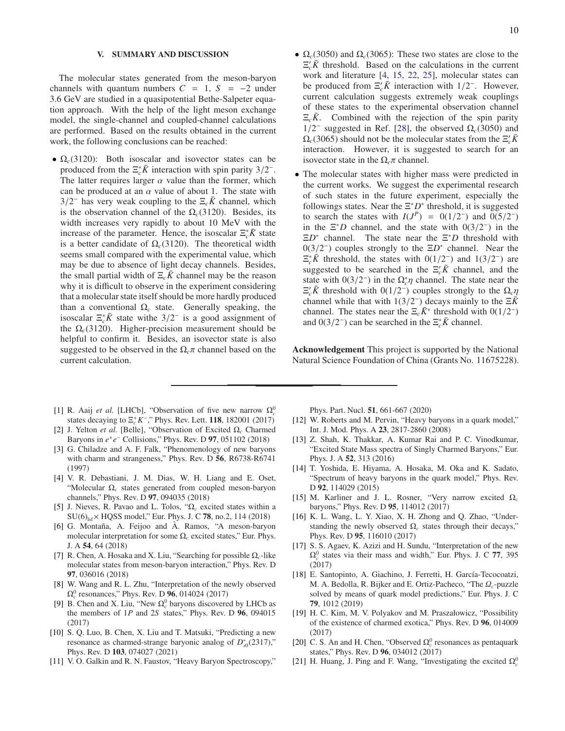#### <span id="page-9-9"></span>V. SUMMARY AND DISCUSSION

The molecular states generated from the meson-baryon channels with quantum numbers  $C = 1$ ,  $S = -2$  under 3.6 GeV are studied in a quasipotential Bethe-Salpeter equation approach. With the help of the light meson exchange model, the single-channel and coupled-channel calculations are performed. Based on the results obtained in the current work, the following conclusions can be reached:

- $\Omega_c(3120)$ : Both isoscalar and isovector states can be produced from the  $\Xi_c^* \bar{K}$  interaction with spin parity 3/2<sup>-</sup>. The latter requires larger  $\alpha$  value than the former, which can be produced at an  $\alpha$  value of about 1. The state with  $3/2^-$  has very weak coupling to the  $\Xi_c \bar{K}$  channel, which is the observation channel of the  $\Omega_c(3120)$ . Besides, its width increases very rapidly to about 10 MeV with the increase of the parameter. Hence, the isoscalar  $\Xi_c^* \bar{K}$  state is a better candidate of  $\Omega_c(3120)$ . The theoretical width seems small compared with the experimental value, which may be due to absence of light decay channels. Besides, the small partial width of  $\Xi_c \bar{K}$  channel may be the reason why it is difficult to observe in the experiment considering that a molecular state itself should be more hardly produced than a conventional  $\Omega_c$  state. Generally speaking, the isoscalar  $\Xi_c^* \bar{K}$  state withe  $3/2^-$  is a good assignment of the  $\Omega_c(3120)$ . Higher-precision measurement should be helpful to confirm it. Besides, an isovector state is also suggested to be observed in the  $\Omega_c \pi$  channel based on the current calculation.
- <span id="page-9-0"></span>[1] R. Aaij *et al.* [LHCb], "Observation of five new narrow  $\Omega_c^0$ states decaying to  $\Xi_c^+ K^-$ ," Phys. Rev. Lett. **118**, 182001 (2017)
- <span id="page-9-1"></span>[2] J. Yelton *et al.* [Belle], "Observation of Excited Ω*<sup>c</sup>* Charmed Baryons in  $e^+e^-$  Collisions," Phys. Rev. D **97**, 051102 (2018)
- <span id="page-9-2"></span>[3] G. Chiladze and A. F. Falk, "Phenomenology of new baryons with charm and strangeness," Phys. Rev. D 56, R6738-R6741 (1997)
- <span id="page-9-6"></span>[4] V. R. Debastiani, J. M. Dias, W. H. Liang and E. Oset, "Molecular Ω*<sup>c</sup>* states generated from coupled meson-baryon channels," Phys. Rev. D 97, 094035 (2018)
- [5] J. Nieves, R. Pavao and L. Tolos, "Ω*<sup>c</sup>* excited states within a  $SU(6)_{1sf} \times HQSS$  model," Eur. Phys. J. C 78, no.2, 114 (2018)
- [6] G. Montaña, A. Feijoo and A. Ramos, "A meson-baryon molecular interpretation for some Ω<sub>c</sub> excited states," Eur. Phys. J. A 54, 64 (2018)
- <span id="page-9-3"></span>[7] R. Chen, A. Hosaka and X. Liu, "Searching for possible  $\Omega_c$ -like molecular states from meson-baryon interaction," Phys. Rev. D 97, 036016 (2018)
- <span id="page-9-4"></span>[8] W. Wang and R. L. Zhu, "Interpretation of the newly observed  $\Omega_c^0$  resonances," Phys. Rev. D **96**, 014024 (2017)
- [9] B. Chen and X. Liu, "New  $\Omega_c^0$  baryons discovered by LHCb as the members of 1*P* and 2*S* states," Phys. Rev. D 96, 094015 (2017)
- [10] S. Q. Luo, B. Chen, X. Liu and T. Matsuki, "Predicting a new resonance as charmed-strange baryonic analog of  $D_{s0}^*(2317)$ ," Phys. Rev. D 103, 074027 (2021)
- [11] V. O. Galkin and R. N. Faustov, "Heavy Baryon Spectroscopy,"
- $\Omega_c(3050)$  and  $\Omega_c(3065)$ : These two states are close to the  $\Xi'_c \overline{K}$  threshold. Based on the calculations in the current work and literature [\[4](#page-9-6), [15,](#page-9-8) [22](#page-10-0), [25](#page-10-2)], molecular states can be produced from  $\Xi_c^{\prime} \bar{K}$  interaction with 1/2<sup>-</sup>. However, current calculation suggests extremely weak couplings of these states to the experimental observation channel  $\Xi_c \bar{K}$ . Combined with the rejection of the spin parity 1/2<sup>-</sup> suggested in Ref. [\[28\]](#page-10-5), the observed  $\Omega_c$ (3050) and  $\Omega_c(3065)$  should not be the molecular states from the  $\Xi_c^{\prime} \bar{K}$ interaction. However, it is suggested to search for an isovector state in the  $\Omega_c \pi$  channel.
- The molecular states with higher mass were predicted in the current works. We suggest the experimental research of such states in the future experiment, especially the followings states. Near the  $\Xi^* D^*$  threshold, it is suggested to search the states with  $I(J^P) = O(1/2^-)$  and  $O(5/2^-)$ in the  $\Xi^* D$  channel, and the state with  $0(3/2^-)$  in the  $\Xi D^*$  channel. The state near the  $\Xi^* D$  threshold with  $0(3/2^-)$  couples strongly to the  $\Xi D^*$  channel. Near the  $\Xi_c^* \bar{K}$  threshold, the states with  $0(1/2^-)$  and  $1(3/2^-)$  are suggested to be searched in the  $\Xi_c$ <sup>*K*</sup> channel, and the state with  $0(3/2^-)$  in the  $\Omega_c^* \eta$  channel. The state near the  $\Xi_c$ <sup>*K*</sup> threshold with 0(1/2<sup>-</sup>) couples strongly to the  $\Omega_c \eta$ channel while that with  $1(3/2^-)$  decays mainly to the  $\Xi \overline{K}$ channel. The states near the  $\Xi_c \bar{K}^*$  threshold with  $0(1/2^-)$ and  $0(3/2^-)$  can be searched in the  $\Xi_c^* \bar{K}$  channel.

Acknowledgement This project is supported by the National Natural Science Foundation of China (Grants No. 11675228).

Phys. Part. Nucl. 51, 661-667 (2020)

- [12] W. Roberts and M. Pervin, "Heavy baryons in a quark model," Int. J. Mod. Phys. A 23, 2817-2860 (2008)
- [13] Z. Shah, K. Thakkar, A. Kumar Rai and P. C. Vinodkumar, "Excited State Mass spectra of Singly Charmed Baryons," Eur. Phys. J. A 52, 313 (2016)
- [14] T. Yoshida, E. Hiyama, A. Hosaka, M. Oka and K. Sadato, "Spectrum of heavy baryons in the quark model," Phys. Rev. D 92, 114029 (2015)
- <span id="page-9-8"></span>[15] M. Karliner and J. L. Rosner, "Very narrow excited Ω*<sup>c</sup>* baryons," Phys. Rev. D 95, 114012 (2017)
- [16] K. L. Wang, L. Y. Xiao, X. H. Zhong and Q. Zhao, "Understanding the newly observed  $\Omega_c$  states through their decays," Phys. Rev. D 95, 116010 (2017)
- [17] S. S. Agaev, K. Azizi and H. Sundu, "Interpretation of the new  $\Omega_c^0$  states via their mass and width," Eur. Phys. J. C 77, 395 (2017)
- [18] E. Santopinto, A. Giachino, J. Ferretti, H. García-Tecocoatzi, M. A. Bedolla, R. Bijker and E. Ortiz-Pacheco, "The Ω*c*-puzzle solved by means of quark model predictions," Eur. Phys. J. C 79, 1012 (2019)
- <span id="page-9-7"></span>[19] H. C. Kim, M. V. Polyakov and M. Praszałowicz, "Possibility of the existence of charmed exotica," Phys. Rev. D 96, 014009 (2017)
- [20] C. S. An and H. Chen, "Observed  $\Omega_c^0$  resonances as pentaquark states," Phys. Rev. D 96, 034012 (2017)
- <span id="page-9-5"></span>[21] H. Huang, J. Ping and F. Wang, "Investigating the excited  $\Omega_c^0$